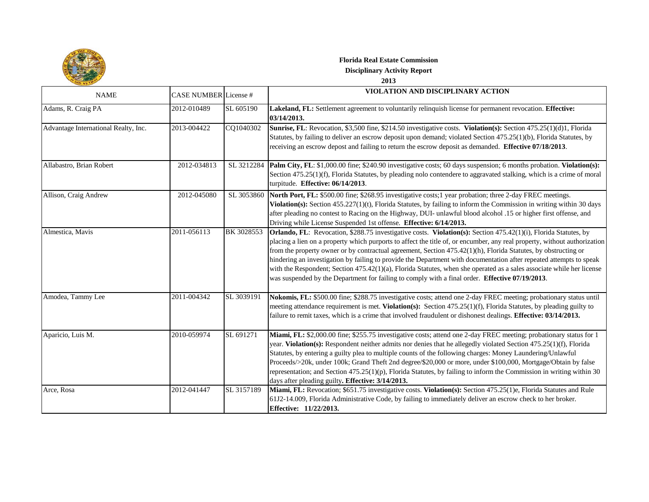

## **Florida Real Estate Commission Disciplinary Activity Report**

## **2013**

| <b>NAME</b>                          | <b>CASE NUMBER</b> License # |            | VIOLATION AND DISCIPLINARY ACTION                                                                                                                                                                                                                                                                                                                                                                                                                                                                                                                                                                                                                                                                                 |
|--------------------------------------|------------------------------|------------|-------------------------------------------------------------------------------------------------------------------------------------------------------------------------------------------------------------------------------------------------------------------------------------------------------------------------------------------------------------------------------------------------------------------------------------------------------------------------------------------------------------------------------------------------------------------------------------------------------------------------------------------------------------------------------------------------------------------|
| Adams, R. Craig PA                   | 2012-010489                  | SL 605190  | Lakeland, FL: Settlement agreement to voluntarily relinquish license for permanent revocation. Effective:<br>03/14/2013.                                                                                                                                                                                                                                                                                                                                                                                                                                                                                                                                                                                          |
| Advantage International Realty, Inc. | 2013-004422                  | CQ1040302  | Sunrise, FL: Revocation, \$3,500 fine, \$214.50 investigative costs. Violation(s): Section 475.25(1)(d)1, Florida<br>Statutes, by failing to deliver an escrow deposit upon demand; violated Section 475.25(1)(b), Florida Statutes, by<br>receiving an escrow depost and failing to return the escrow deposit as demanded. Effective 07/18/2013.                                                                                                                                                                                                                                                                                                                                                                 |
| Allabastro, Brian Robert             | 2012-034813                  | SL 3212284 | Palm City, FL: \$1,000.00 fine; \$240.90 investigative costs; 60 days suspension; 6 months probation. Violation(s):<br>Section 475.25(1)(f), Florida Statutes, by pleading nolo contendere to aggravated stalking, which is a crime of moral<br>turpitude. Effective: 06/14/2013.                                                                                                                                                                                                                                                                                                                                                                                                                                 |
| Allison, Craig Andrew                | 2012-045080                  | SL 3053860 | North Port, FL: \$500.00 fine; \$268.95 investigative costs;1 year probation; three 2-day FREC meetings.<br>Violation(s): Section 455.227(1)(t), Florida Statutes, by failing to inform the Commission in writing within 30 days<br>after pleading no contest to Racing on the Highway, DUI- unlawful blood alcohol .15 or higher first offense, and<br>Driving while License Suspended 1st offense. Effective: 6/14/2013.                                                                                                                                                                                                                                                                                        |
| Almestica, Mavis                     | 2011-056113                  | BK 3028553 | Orlando, FL: Revocation, \$288.75 investigative costs. Violation(s): Section 475.42(1)(i), Florida Statutes, by<br>placing a lien on a property which purports to affect the title of, or encumber, any real property, without authorization<br>from the property owner or by contractual agreement, Section 475.42(1)(h), Florida Statutes, by obstructing or<br>hindering an investigation by failing to provide the Department with documentation after repeated attempts to speak<br>with the Respondent; Section 475.42(1)(a), Florida Statutes, when she operated as a sales associate while her license<br>was suspended by the Department for failing to comply with a final order. Effective 07/19/2013. |
| Amodea, Tammy Lee                    | 2011-004342                  | SL 3039191 | Nokomis, FL: \$500.00 fine; \$288.75 investigative costs; attend one 2-day FREC meeting; probationary status until<br>meeting attendance requirement is met. Violation(s): Section 475.25(1)(f), Florida Statutes, by pleading guilty to<br>failure to remit taxes, which is a crime that involved fraudulent or dishonest dealings. Effective: 03/14/2013.                                                                                                                                                                                                                                                                                                                                                       |
| Aparicio, Luis M.                    | 2010-059974                  | SL 691271  | Miami, FL: \$2,000.00 fine; \$255.75 investigative costs; attend one 2-day FREC meeting; probationary status for 1<br>year. Violation(s): Respondent neither admits nor denies that he allegedly violated Section 475.25(1)(f), Florida<br>Statutes, by entering a guilty plea to multiple counts of the following charges: Money Laundering/Unlawful<br>Proceeds/>20k, under 100k; Grand Theft 2nd degree/\$20,000 or more, under \$100,000, Mortgage/Obtain by false<br>representation; and Section 475.25(1)(p), Florida Statutes, by failing to inform the Commission in writing within 30<br>days after pleading guilty. Effective: 3/14/2013.                                                               |
| Arce, Rosa                           | 2012-041447                  | SL 3157189 | Miami, FL: Revocation; \$651.75 investigative costs. Violation(s): Section 475.25(1)e, Florida Statutes and Rule<br>61J2-14.009, Florida Administrative Code, by failing to immediately deliver an escrow check to her broker.<br>Effective: 11/22/2013.                                                                                                                                                                                                                                                                                                                                                                                                                                                          |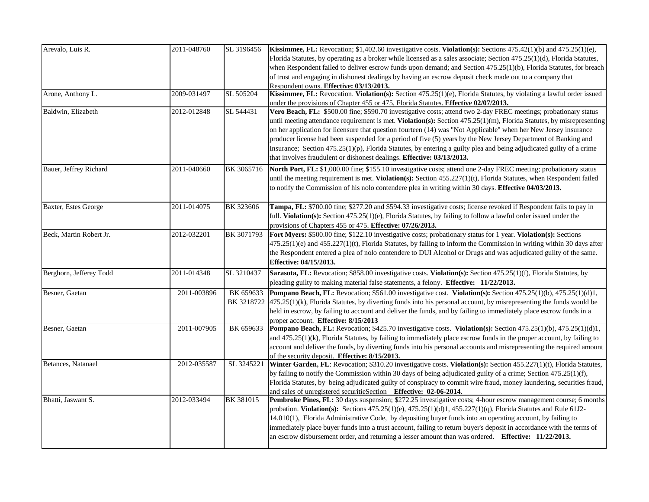| Arevalo, Luis R.        | 2011-048760 | SL 3196456 | <b>Kissimmee, FL:</b> Revocation; \$1,402.60 investigative costs. <b>Violation(s):</b> Sections $475.42(1)(b)$ and $475.25(1)(e)$ ,<br>Florida Statutes, by operating as a broker while licensed as a sales associate; Section 475.25(1)(d), Florida Statutes, |
|-------------------------|-------------|------------|----------------------------------------------------------------------------------------------------------------------------------------------------------------------------------------------------------------------------------------------------------------|
|                         |             |            | when Respondent failed to deliver escrow funds upon demand; and Section 475.25(1)(b), Florida Statutes, for breach                                                                                                                                             |
|                         |             |            | of trust and engaging in dishonest dealings by having an escrow deposit check made out to a company that                                                                                                                                                       |
|                         |             |            | Respondent owns. Effective: 03/13/2013.                                                                                                                                                                                                                        |
| Arone, Anthony L.       | 2009-031497 | SL 505204  | Kissimmee, FL: Revocation. Violation(s): Section 475.25(1)(e), Florida Statutes, by violating a lawful order issued                                                                                                                                            |
|                         |             |            | under the provisions of Chapter 455 or 475, Florida Statutes. Effective 02/07/2013.                                                                                                                                                                            |
| Baldwin, Elizabeth      | 2012-012848 | SL 544431  | Vero Beach, FL: \$500.00 fine; \$590.70 investigative costs; attend two 2-day FREC meetings; probationary status                                                                                                                                               |
|                         |             |            | until meeting attendance requirement is met. Violation(s): Section 475.25(1)(m), Florida Statutes, by misrepresenting                                                                                                                                          |
|                         |             |            | on her application for licensure that question fourteen (14) was "Not Applicable" when her New Jersey insurance<br>producer license had been suspended for a period of five (5) years by the New Jersey Department of Banking and                              |
|                         |             |            | Insurance; Section 475.25(1)(p), Florida Statutes, by entering a guilty plea and being adjudicated guilty of a crime                                                                                                                                           |
|                         |             |            | that involves fraudulent or dishonest dealings. Effective: 03/13/2013.                                                                                                                                                                                         |
|                         |             |            |                                                                                                                                                                                                                                                                |
| Bauer, Jeffrey Richard  | 2011-040660 | BK 3065716 | North Port, FL: \$1,000.00 fine; \$155.10 investigative costs; attend one 2-day FREC meeting; probationary status                                                                                                                                              |
|                         |             |            | until the meeting requirement is met. Violation(s): Section 455.227(1)(t), Florida Statutes, when Respondent failed<br>to notify the Commission of his nolo contendere plea in writing within 30 days. Effective 04/03/2013.                                   |
|                         |             |            |                                                                                                                                                                                                                                                                |
| Baxter, Estes George    | 2011-014075 | BK 323606  | Tampa, FL: \$700.00 fine; \$277.20 and \$594.33 investigative costs; license revoked if Respondent fails to pay in                                                                                                                                             |
|                         |             |            | full. Violation(s): Section 475.25(1)(e), Florida Statutes, by failing to follow a lawful order issued under the                                                                                                                                               |
|                         |             |            | provisions of Chapters $455$ or $475$ . <b>Effective: 07/26/2013.</b>                                                                                                                                                                                          |
| Beck, Martin Robert Jr. | 2012-032201 | BK 3071793 | Fort Myers: \$500.00 fine; \$122.10 investigative costs; probationary status for 1 year. Violation(s): Sections                                                                                                                                                |
|                         |             |            | $475.25(1)(e)$ and $455.227(1)(t)$ , Florida Statutes, by failing to inform the Commission in writing within 30 days after                                                                                                                                     |
|                         |             |            | the Respondent entered a plea of nolo contendere to DUI Alcohol or Drugs and was adjudicated guilty of the same.                                                                                                                                               |
|                         |             |            | Effective: 04/15/2013.                                                                                                                                                                                                                                         |
| Berghorn, Jefferey Todd | 2011-014348 | SL 3210437 | Sarasota, FL: Revocation; \$858.00 investigative costs. Violation(s): Section 475.25(1)(f), Florida Statutes, by                                                                                                                                               |
|                         |             |            | pleading guilty to making material false statements, a felony. Effective: 11/22/2013.                                                                                                                                                                          |
| Besner, Gaetan          | 2011-003896 | BK 659633  | Pompano Beach, FL: Revocation; \$561.00 investigative cost. Violation(s): Section 475.25(1)(b), 475.25(1)(d)1,                                                                                                                                                 |
|                         |             |            | BK 3218722 475.25(1)(k), Florida Statutes, by diverting funds into his personal account, by misrepresenting the funds would be                                                                                                                                 |
|                         |             |            | held in escrow, by failing to account and deliver the funds, and by failing to immediately place escrow funds in a                                                                                                                                             |
| Besner, Gaetan          | 2011-007905 | BK 659633  | proper account. Effective: 8/15/2013<br>Pompano Beach, FL: Revocation; \$425.70 investigative costs. Violation(s): Section 475.25(1)(b), 475.25(1)(d)1,                                                                                                        |
|                         |             |            | and 475.25(1)(k), Florida Statutes, by failing to immediately place escrow funds in the proper account, by failing to                                                                                                                                          |
|                         |             |            | account and deliver the funds, by diverting funds into his personal accounts and misrepresenting the required amount                                                                                                                                           |
|                         |             |            | of the security deposit. Effective: 8/15/2013.                                                                                                                                                                                                                 |
| Betances, Natanael      | 2012-035587 | SL 3245221 | Winter Garden, FL: Revocation; \$310.20 investigative costs. Violation(s): Section 455.227(1)(t), Florida Statutes,                                                                                                                                            |
|                         |             |            | by failing to notify the Commission within 30 days of being adjudicated guilty of a crime; Section $475.25(1)(f)$ ,                                                                                                                                            |
|                         |             |            | Florida Statutes, by being adjudicated guilty of conspiracy to commit wire fraud, money laundering, securities fraud,                                                                                                                                          |
| Bhatti, Jaswant S.      | 2012-033494 |            | and sales of unregistered securitieSection Effective: 02-06-2014.                                                                                                                                                                                              |
|                         |             | BK 381015  | Pembroke Pines, FL: 30 days suspension; \$272.25 investigative costs; 4-hour escrow management course; 6 months<br>probation. Violation(s): Sections $475.25(1)(e)$ , $475.25(1)(d)1$ , $455.227(1)(q)$ , Florida Statutes and Rule 61J2-                      |
|                         |             |            | 14.010(1), Florida Administrative Code, by depositing buyer funds into an operating account, by failing to                                                                                                                                                     |
|                         |             |            | immediately place buyer funds into a trust account, failing to return buyer's deposit in accordance with the terms of                                                                                                                                          |
|                         |             |            | an escrow disbursement order, and returning a lesser amount than was ordered. Effective: 11/22/2013.                                                                                                                                                           |
|                         |             |            |                                                                                                                                                                                                                                                                |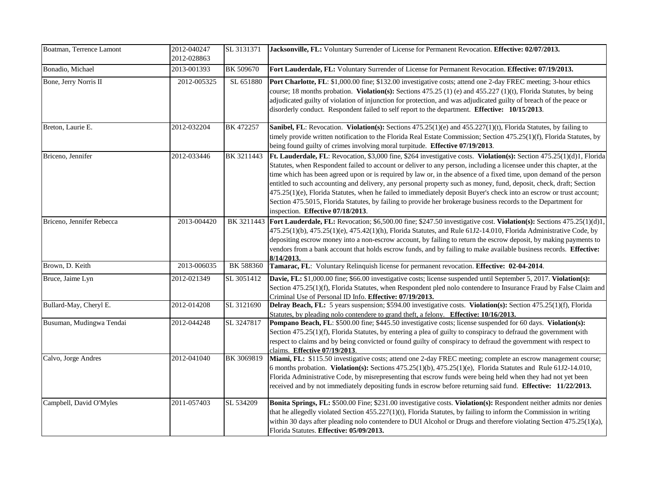| Boatman, Terrence Lamont  | 2012-040247<br>2012-028863 | SL 3131371 | Jacksonville, FL: Voluntary Surrender of License for Permanent Revocation. Effective: 02/07/2013.                                                                                                                                                                                                                                                                                                                                                                                                                                                                                                                                                                                                                                                                           |
|---------------------------|----------------------------|------------|-----------------------------------------------------------------------------------------------------------------------------------------------------------------------------------------------------------------------------------------------------------------------------------------------------------------------------------------------------------------------------------------------------------------------------------------------------------------------------------------------------------------------------------------------------------------------------------------------------------------------------------------------------------------------------------------------------------------------------------------------------------------------------|
| Bonadio, Michael          | 2013-001393                | BK 509670  | Fort Lauderdale, FL: Voluntary Surrender of License for Permanent Revocation. Effective: 07/19/2013.                                                                                                                                                                                                                                                                                                                                                                                                                                                                                                                                                                                                                                                                        |
| Bone, Jerry Norris II     | 2012-005325                | SL 651880  | Port Charlotte, FL: \$1,000.00 fine; \$132.00 investigative costs; attend one 2-day FREC meeting; 3-hour ethics<br>course; 18 months probation. Violation(s): Sections 475.25 (1) (e) and 455.227 (1)(t), Florida Statutes, by being<br>adjudicated guilty of violation of injunction for protection, and was adjudicated guilty of breach of the peace or<br>disorderly conduct. Respondent failed to self report to the department. Effective: 10/15/2013.                                                                                                                                                                                                                                                                                                                |
| Breton, Laurie E.         | 2012-032204                | BK 472257  | Sanibel, FL: Revocation. Violation(s): Sections 475.25(1)(e) and 455.227(1)(t), Florida Statutes, by failing to<br>timely provide written notification to the Florida Real Estate Commission; Section 475.25(1)(f), Florida Statutes, by<br>being found guilty of crimes involving moral turpitude. Effective 07/19/2013.                                                                                                                                                                                                                                                                                                                                                                                                                                                   |
| Briceno, Jennifer         | 2012-033446                | BK 3211443 | Ft. Lauderdale, FL: Revocation, \$3,000 fine, \$264 investigative costs. Violation(s): Section 475.25(1)(d)1, Florida<br>Statutes, when Respondent failed to account or deliver to any person, including a licensee under this chapter, at the<br>time which has been agreed upon or is required by law or, in the absence of a fixed time, upon demand of the person<br>entitled to such accounting and delivery, any personal property such as money, fund, deposit, check, draft; Section<br>475.25(1)(e), Florida Statutes, when he failed to immediately deposit Buyer's check into an escrow or trust account;<br>Section 475.5015, Florida Statutes, by failing to provide her brokerage business records to the Department for<br>inspection. Effective 07/18/2013. |
| Briceno, Jennifer Rebecca | 2013-004420                |            | BK 3211443 Fort Lauderdale, FL: Revocation; \$6,500.00 fine; \$247.50 investigative cost. Violation(s): Sections 475.25(1)(d)1,<br>475.25(1)(b), 475.25(1)(e), 475.42(1)(h), Florida Statutes, and Rule 61J2-14.010, Florida Administrative Code, by<br>depositing escrow money into a non-escrow account, by failing to return the escrow deposit, by making payments to<br>vendors from a bank account that holds escrow funds, and by failing to make available business records. Effective:<br>8/14/2013.                                                                                                                                                                                                                                                               |
| Brown, D. Keith           | 2013-006035                | BK 588360  | Tamarac, FL: Voluntary Relinquish license for permanent revocation. Effective: 02-04-2014.                                                                                                                                                                                                                                                                                                                                                                                                                                                                                                                                                                                                                                                                                  |
| Bruce, Jaime Lyn          | 2012-021349                | SL 3051412 | Davie, FL: \$1,000.00 fine; \$66.00 investigative costs; license suspended until September 5, 2017. Violation(s):<br>Section 475.25(1)(f), Florida Statutes, when Respondent pled nolo contendere to Insurance Fraud by False Claim and<br>Criminal Use of Personal ID Info. Effective: 07/19/2013.                                                                                                                                                                                                                                                                                                                                                                                                                                                                         |
| Bullard-May, Cheryl E.    | 2012-014208                | SL 3121690 | Delray Beach, FL: 5 years suspension; \$594.00 investigative costs. Violation(s): Section 475.25(1)(f), Florida<br>Statutes, by pleading nolo contendere to grand theft, a felony. Effective: 10/16/2013.                                                                                                                                                                                                                                                                                                                                                                                                                                                                                                                                                                   |
| Busuman, Mudingwa Tendai  | 2012-044248                | SL 3247817 | Pompano Beach, FL: \$500.00 fine; \$445.50 investigative costs; license suspended for 60 days. Violation(s):<br>Section 475.25(1)(f), Florida Statutes, by entering a plea of guilty to conspiracy to defraud the government with<br>respect to claims and by being convicted or found guilty of conspiracy to defraud the government with respect to<br>claims. Effective 07/19/2013.                                                                                                                                                                                                                                                                                                                                                                                      |
| Calvo, Jorge Andres       | 2012-041040                | BK 3069819 | Miami, FL: \$115.50 investigative costs; attend one 2-day FREC meeting; complete an escrow management course;<br>6 months probation. Violation(s): Sections 475.25(1)(b), 475.25(1)(e), Florida Statutes and Rule 61J2-14.010,<br>Florida Administrative Code, by misrepresenting that escrow funds were being held when they had not yet been<br>received and by not immediately depositing funds in escrow before returning said fund. Effective: 11/22/2013.                                                                                                                                                                                                                                                                                                             |
| Campbell, David O'Myles   | 2011-057403                | SL 534209  | Bonita Springs, FL: \$500.00 Fine; \$231.00 investigative costs. Violation(s): Respondent neither admits nor denies<br>that he allegedly violated Section $455.227(1)(t)$ , Florida Statutes, by failing to inform the Commission in writing<br>within 30 days after pleading nolo contendere to DUI Alcohol or Drugs and therefore violating Section 475.25(1)(a),<br>Florida Statutes. Effective: 05/09/2013.                                                                                                                                                                                                                                                                                                                                                             |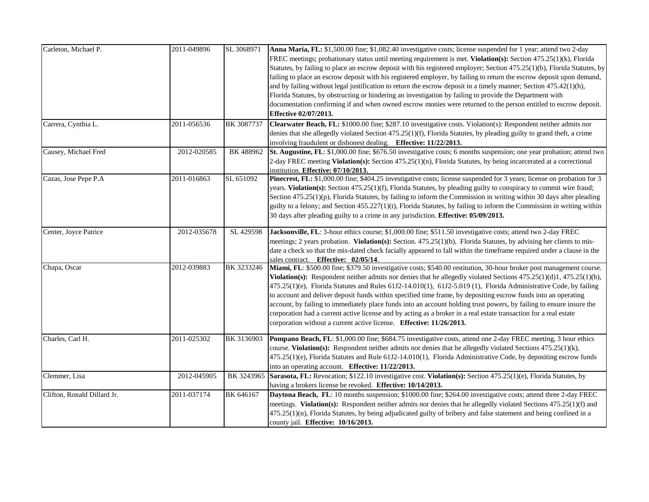| Carleton, Michael P.        | 2011-049896 | SL 3068971 | Anna Maria, FL: \$1,500.00 fine; \$1,082.40 investigative costs; license suspended for 1 year; attend two 2-day<br>FREC meetings; probationary status until meeting requirement is met. Violation(s): Section 475.25(1)(k), Florida<br>Statutes, by failing to place an escrow deposit with his registered employer; Section 475.25(1)(b), Florida Statutes, by<br>failing to place an escrow deposit with his registered employer, by failing to return the escrow deposit upon demand,<br>and by failing without legal justification to return the escrow deposit in a timely manner; Section $475.42(1)(h)$ ,<br>Florida Statutes, by obstructing or hindering an investigation by failing to provide the Department with<br>documentation confirming if and when owned escrow monies were returned to the person entitled to escrow deposit.<br><b>Effective 02/07/2013.</b> |
|-----------------------------|-------------|------------|----------------------------------------------------------------------------------------------------------------------------------------------------------------------------------------------------------------------------------------------------------------------------------------------------------------------------------------------------------------------------------------------------------------------------------------------------------------------------------------------------------------------------------------------------------------------------------------------------------------------------------------------------------------------------------------------------------------------------------------------------------------------------------------------------------------------------------------------------------------------------------|
| Carrera, Cynthia L.         | 2011-056536 | BK 3087737 | Clearwater Beach, FL: \$1000.00 fine; \$287.10 investigative costs. Violation(s): Respondent neither admits nor<br>denies that she allegedly violated Section 475.25(1)(f), Florida Statutes, by pleading guilty to grand theft, a crime<br>involving fraudulent or dishonest dealing. Effective: 11/22/2013.                                                                                                                                                                                                                                                                                                                                                                                                                                                                                                                                                                    |
| Causey, Michael Fred        | 2012-020585 | BK 488962  | St. Augustine, FL: \$1,000.00 fine; \$676.50 investigative costs; 6 months suspension; one year probation; attend two<br>2-day FREC meeting Violation(s): Section 475.25(1)(n), Florida Statutes, by being incarcerated at a correctional<br>institution. Effective: 07/10/2013.                                                                                                                                                                                                                                                                                                                                                                                                                                                                                                                                                                                                 |
| Cazas, Jose Pepe P.A        | 2011-016863 | SL 651092  | Pinecrest, FL: \$1,000.00 fine; \$404.25 investigative costs; license suspended for 3 years; license on probation for 3<br>years. Violation(s): Section 475.25(1)(f), Florida Statutes, by pleading guilty to conspiracy to commit wire fraud;<br>Section $475.25(1)(p)$ , Florida Statutes, by failing to inform the Commission in writing within 30 days after pleading<br>guilty to a felony; and Section 455.227(1)(t), Florida Statutes, by failing to inform the Commission in writing within<br>30 days after pleading guilty to a crime in any jurisdiction. Effective: 05/09/2013.                                                                                                                                                                                                                                                                                      |
| Center, Joyce Patrice       | 2012-035678 | SL 429598  | Jacksonville, FL: 3-hour ethics course; \$1,000.00 fine; \$511.50 investigative costs; attend two 2-day FREC<br>meetings; 2 years probation. Violation(s): Section. 475.25(1)(b), Florida Statutes, by advising her clients to mis-<br>date a check so that the mis-dated check facially appeared to fall within the timeframe required under a clause in the<br>sales contract. Effective: 02/05/14.                                                                                                                                                                                                                                                                                                                                                                                                                                                                            |
| Chapa, Oscar                | 2012-039883 | BK 3233246 | Miami, FL: \$500.00 fine; \$379.50 investigative costs; \$540.00 restitution, 30-hour broker post management course.<br>Violation(s): Respondent neither admits nor denies that he allegedly violated Sections $475.25(1)(d)1$ , $475.25(1)(b)$ ,<br>475.25(1)(e), Florida Statutes and Rules 61J2-14.010(1), 61J2-5.019 (1), Florida Administrative Code, by failing<br>to account and deliver deposit funds within specified time frame, by depositing escrow funds into an operating<br>account, by failing to immediately place funds into an account holding trust powers, by failing to ensure insure the<br>corporation had a current active license and by acting as a broker in a real estate transaction for a real estate<br>corporation without a current active license. Effective: 11/26/2013.                                                                     |
| Charles, Carl H.            | 2011-025302 | BK 3136903 | Pompano Beach, FL: \$1,000.00 fine; \$684.75 investigative costs, attend one 2-day FREC meeting, 3 hour ethics<br>course. Violation(s): Respondent neither admits nor denies that he allegedly violated Sections 475.25(1)(k),<br>475.25(1)(e), Florida Statutes and Rule 61J2-14.010(1), Florida Administrative Code, by depositing escrow funds<br>into an operating account. Effective: 11/22/2013.                                                                                                                                                                                                                                                                                                                                                                                                                                                                           |
| Clemmer, Lisa               | 2012-045905 |            | BK 3243965 Sarasota, FL: Revocation; \$122.10 investigative cost. Violation(s): Section 475.25(1)(e), Florida Statutes, by<br>having a brokers license be revoked. Effective: 10/14/2013.                                                                                                                                                                                                                                                                                                                                                                                                                                                                                                                                                                                                                                                                                        |
| Clifton, Ronald Dillard Jr. | 2011-037174 | BK 646167  | Daytona Beach, FL: 10 months suspension; \$1000.00 fine; \$264.00 investigative costs; attend three 2-day FREC<br>meetings. Violation(s): Respondent neither admits nor denies that he allegedly violated Sections 475.25(1)(f) and<br>475.25(1)(n), Florida Statutes, by being adjudicated guilty of bribery and false statement and being confined in a<br>county jail. Effective: 10/16/2013.                                                                                                                                                                                                                                                                                                                                                                                                                                                                                 |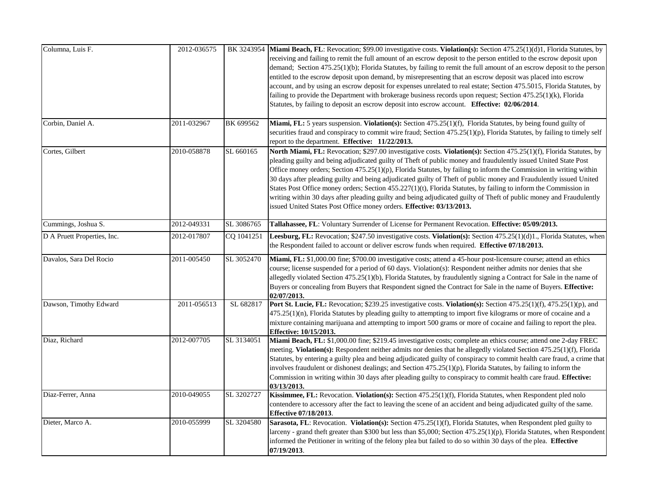| Columna, Luis F.            | 2012-036575 |            | BK 3243954 Miami Beach, FL: Revocation; \$99.00 investigative costs. Violation(s): Section 475.25(1)(d)1, Florida Statutes, by<br>receiving and failing to remit the full amount of an escrow deposit to the person entitled to the escrow deposit upon<br>demand; Section 475.25(1)(b); Florida Statutes, by failing to remit the full amount of an escrow deposit to the person<br>entitled to the escrow deposit upon demand, by misrepresenting that an escrow deposit was placed into escrow<br>account, and by using an escrow deposit for expenses unrelated to real estate; Section 475.5015, Florida Statutes, by<br>failing to provide the Department with brokerage business records upon request; Section 475.25(1)(k), Florida<br>Statutes, by failing to deposit an escrow deposit into escrow account. Effective: 02/06/2014. |
|-----------------------------|-------------|------------|----------------------------------------------------------------------------------------------------------------------------------------------------------------------------------------------------------------------------------------------------------------------------------------------------------------------------------------------------------------------------------------------------------------------------------------------------------------------------------------------------------------------------------------------------------------------------------------------------------------------------------------------------------------------------------------------------------------------------------------------------------------------------------------------------------------------------------------------|
| Corbin, Daniel A.           | 2011-032967 | BK 699562  | Miami, FL: 5 years suspension. Violation(s): Section 475.25(1)(f), Florida Statutes, by being found guilty of<br>securities fraud and conspiracy to commit wire fraud; Section 475.25(1)(p), Florida Statutes, by failing to timely self<br>report to the department. Effective: 11/22/2013.                                                                                                                                                                                                                                                                                                                                                                                                                                                                                                                                                 |
| Cortes, Gilbert             | 2010-058878 | SL 660165  | North Miami, FL: Revocation; \$297.00 investigative costs. Violation(s): Section 475.25(1)(f), Florida Statutes, by<br>pleading guilty and being adjudicated guilty of Theft of public money and fraudulently issued United State Post<br>Office money orders; Section $475.25(1)(p)$ , Florida Statutes, by failing to inform the Commission in writing within<br>30 days after pleading guilty and being adjudicated guilty of Theft of public money and Fraudulently issued United<br>States Post Office money orders; Section 455.227(1)(t), Florida Statutes, by failing to inform the Commission in<br>writing within 30 days after pleading guilty and being adjudicated guilty of Theft of public money and Fraudulently<br>issued United States Post Office money orders. Effective: 03/13/2013.                                    |
| Cummings, Joshua S.         | 2012-049331 | SL 3086765 | Tallahassee, FL: Voluntary Surrender of License for Permanent Revocation. Effective: 05/09/2013.                                                                                                                                                                                                                                                                                                                                                                                                                                                                                                                                                                                                                                                                                                                                             |
| D A Pruett Properties, Inc. | 2012-017807 | CQ 1041251 | Leesburg, FL: Revocation; \$247.50 investigative costs. Violation(s): Section 475.25(1)(d)1., Florida Statutes, when<br>the Respondent failed to account or deliver escrow funds when required. Effective 07/18/2013.                                                                                                                                                                                                                                                                                                                                                                                                                                                                                                                                                                                                                        |
| Davalos, Sara Del Rocio     | 2011-005450 | SL 3052470 | Miami, FL: \$1,000.00 fine; \$700.00 investigative costs; attend a 45-hour post-licensure course; attend an ethics<br>course; license suspended for a period of 60 days. Violation(s): Respondent neither admits nor denies that she<br>allegedly violated Section 475.25(1)(b), Florida Statutes, by fraudulently signing a Contract for Sale in the name of<br>Buyers or concealing from Buyers that Respondent signed the Contract for Sale in the name of Buyers. Effective:<br>02/07/2013.                                                                                                                                                                                                                                                                                                                                              |
| Dawson, Timothy Edward      | 2011-056513 | SL 682817  | Port St. Lucie, FL: Revocation; \$239.25 investigative costs. Violation(s): Section 475.25(1)(f), 475.25(1)(p), and<br>475.25(1)(n), Florida Statutes by pleading guilty to attempting to import five kilograms or more of cocaine and a<br>mixture containing marijuana and attempting to import 500 grams or more of cocaine and failing to report the plea.<br>Effective: 10/15/2013.                                                                                                                                                                                                                                                                                                                                                                                                                                                     |
| Diaz, Richard               | 2012-007705 | SL 3134051 | Miami Beach, FL: \$1,000.00 fine; \$219.45 investigative costs; complete an ethics course; attend one 2-day FREC<br>meeting. Violation(s): Respondent neither admits nor denies that he allegedly violated Section 475.25(1)(f), Florida<br>Statutes, by entering a guilty plea and being adjudicated guilty of conspiracy to commit health care fraud, a crime that<br>involves fraudulent or dishonest dealings; and Section $475.25(1)(p)$ , Florida Statutes, by failing to inform the<br>Commission in writing within 30 days after pleading guilty to conspiracy to commit health care fraud. Effective:<br>03/13/2013.                                                                                                                                                                                                                |
| Diaz-Ferrer, Anna           | 2010-049055 | SL 3202727 | Kissimmee, FL: Revocation. Violation(s): Section 475.25(1)(f), Florida Statutes, when Respondent pled nolo<br>contendere to accessory after the fact to leaving the scene of an accident and being adjudicated guilty of the same.<br><b>Effective 07/18/2013.</b>                                                                                                                                                                                                                                                                                                                                                                                                                                                                                                                                                                           |
| Dieter, Marco A.            | 2010-055999 | SL 3204580 | Sarasota, FL: Revocation. Violation(s): Section 475.25(1)(f), Florida Statutes, when Respondent pled guilty to<br>larceny - grand theft greater than \$300 but less than \$5,000; Section 475.25(1)(p), Florida Statutes, when Respondent<br>informed the Petitioner in writing of the felony plea but failed to do so within 30 days of the plea. <b>Effective</b><br>07/19/2013.                                                                                                                                                                                                                                                                                                                                                                                                                                                           |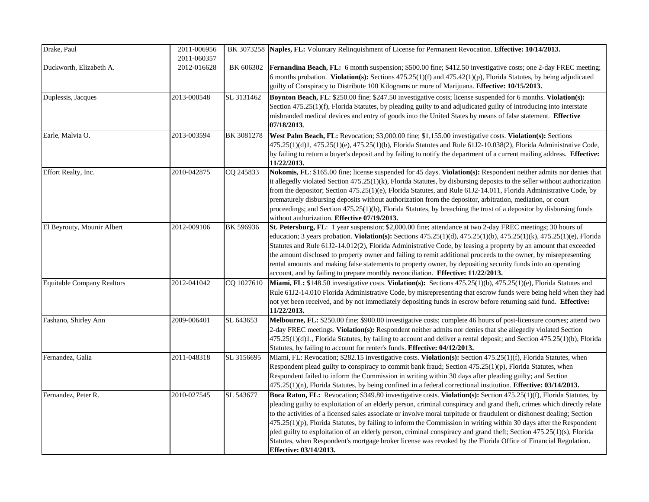| Drake, Paul                       | 2011-006956<br>2011-060357 |            | BK 3073258 Naples, FL: Voluntary Relinquishment of License for Permanent Revocation. Effective: 10/14/2013.                                                                                                                                                                                                                                                                                                                                                                                                                                                                                                                                                                                                                                                       |
|-----------------------------------|----------------------------|------------|-------------------------------------------------------------------------------------------------------------------------------------------------------------------------------------------------------------------------------------------------------------------------------------------------------------------------------------------------------------------------------------------------------------------------------------------------------------------------------------------------------------------------------------------------------------------------------------------------------------------------------------------------------------------------------------------------------------------------------------------------------------------|
| Duckworth, Elizabeth A.           | 2012-016628                | BK 606302  | <b>Fernandina Beach, FL:</b> 6 month suspension; \$500.00 fine; \$412.50 investigative costs; one 2-day FREC meeting;<br>6 months probation. Violation(s): Sections $475.25(1)(f)$ and $475.42(1)(p)$ , Florida Statutes, by being adjudicated<br>guilty of Conspiracy to Distribute 100 Kilograms or more of Marijuana. Effective: 10/15/2013.                                                                                                                                                                                                                                                                                                                                                                                                                   |
| Duplessis, Jacques                | 2013-000548                | SL 3131462 | Boynton Beach, FL: \$250.00 fine; \$247.50 investigative costs; license suspended for 6 months. Violation(s):<br>Section 475.25(1)(f), Florida Statutes, by pleading guilty to and adjudicated guilty of introducing into interstate<br>misbranded medical devices and entry of goods into the United States by means of false statement. Effective<br>07/18/2013.                                                                                                                                                                                                                                                                                                                                                                                                |
| Earle, Malvia O.                  | 2013-003594                | BK 3081278 | West Palm Beach, FL: Revocation; \$3,000.00 fine; \$1,155.00 investigative costs. Violation(s): Sections<br>475.25(1)(d)1, 475.25(1)(e), 475.25(1)(b), Florida Statutes and Rule 61J2-10.038(2), Florida Administrative Code,<br>by failing to return a buyer's deposit and by failing to notify the department of a current mailing address. <b>Effective:</b><br>11/22/2013.                                                                                                                                                                                                                                                                                                                                                                                    |
| Effort Realty, Inc.               | 2010-042875                | CQ 245833  | Nokomis, FL: \$165.00 fine; license suspended for 45 days. Violation(s): Respondent neither admits nor denies that<br>it allegedly violated Section 475.25(1)(k), Florida Statutes, by disbursing deposits to the seller without authorization<br>from the depositor; Section 475.25(1)(e), Florida Statutes, and Rule 61J2-14.011, Florida Administrative Code, by<br>prematurely disbursing deposits without authorization from the depositor, arbitration, mediation, or court<br>proceedings; and Section 475.25(1)(b), Florida Statutes, by breaching the trust of a depositor by disbursing funds<br>without authorization. Effective 07/19/2013.                                                                                                           |
| El Beyrouty, Mounir Albert        | 2012-009106                | BK 596936  | St. Petersburg, FL: 1 year suspension; \$2,000.00 fine; attendance at two 2-day FREC meetings; 30 hours of<br>education; 3 years probation. Violation(s): Sections 475.25(1)(d), 475.25(1)(b), 475.25(1)(k), 475.25(1)(e), Florida<br>Statutes and Rule 61J2-14.012(2), Florida Administrative Code, by leasing a property by an amount that exceeded<br>the amount disclosed to property owner and failing to remit additional proceeds to the owner, by misrepresenting<br>rental amounts and making false statements to property owner, by depositing security funds into an operating<br>account, and by failing to prepare monthly reconciliation. Effective: 11/22/2013.                                                                                    |
| <b>Equitable Company Realtors</b> | 2012-041042                | CQ 1027610 | Miami, FL: \$148.50 investigative costs. Violation(s): Sections 475.25(1)(b), 475.25(1)(e), Florida Statutes and<br>Rule 61J2-14.010 Florida Administrative Code, by misrepresenting that escrow funds were being held when they had<br>not yet been received, and by not immediately depositing funds in escrow before returning said fund. Effective:<br>11/22/2013.                                                                                                                                                                                                                                                                                                                                                                                            |
| Fashano, Shirley Ann              | 2009-006401                | SL 643653  | Melbourne, FL: \$250.00 fine; \$900.00 investigative costs; complete 46 hours of post-licensure courses; attend two<br>2-day FREC meetings. Violation(s): Respondent neither admits nor denies that she allegedly violated Section<br>475.25(1)(d)1., Florida Statutes, by failing to account and deliver a rental deposit; and Section 475.25(1)(b), Florida<br>Statutes, by failing to account for renter's funds. Effective: 04/12/2013.                                                                                                                                                                                                                                                                                                                       |
| Fernandez, Galia                  | 2011-048318                | SL 3156695 | Miami, FL: Revocation; \$282.15 investigative costs. Violation(s): Section 475.25(1)(f), Florida Statutes, when<br>Respondent plead guilty to conspiracy to commit bank fraud; Section 475.25(1)(p), Florida Statutes, when<br>Respondent failed to inform the Commission in writing within 30 days after pleading guilty; and Section<br>475.25(1)(n), Florida Statutes, by being confined in a federal correctional institution. Effective: 03/14/2013.                                                                                                                                                                                                                                                                                                         |
| Fernandez, Peter R.               | 2010-027545                | SL 543677  | Boca Raton, FL: Revocation; \$349.80 investigative costs. Violation(s): Section 475.25(1)(f), Florida Statutes, by<br>pleading guilty to exploitation of an elderly person, criminal conspiracy and grand theft, crimes which directly relate<br>to the activities of a licensed sales associate or involve moral turpitude or fraudulent or dishonest dealing; Section<br>475.25(1)(p), Florida Statutes, by failing to inform the Commission in writing within 30 days after the Respondent<br>pled guilty to exploitation of an elderly person, criminal conspiracy and grand theft; Section 475.25(1)(s), Florida<br>Statutes, when Respondent's mortgage broker license was revoked by the Florida Office of Financial Regulation.<br>Effective: 03/14/2013. |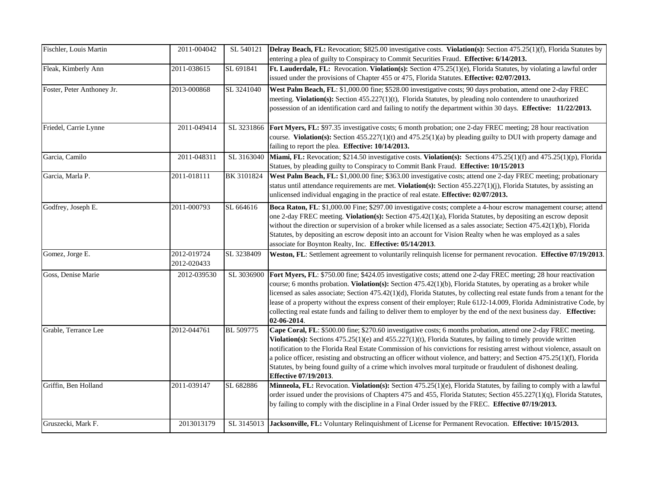| Fischler, Louis Martin     | 2011-004042                | SL 540121  | Delray Beach, FL: Revocation; \$825.00 investigative costs. Violation(s): Section 475.25(1)(f), Florida Statutes by<br>entering a plea of guilty to Conspiracy to Commit Securities Fraud. Effective: 6/14/2013.                                                                                                                                                                                                                                                                                                                                                                                                                      |
|----------------------------|----------------------------|------------|---------------------------------------------------------------------------------------------------------------------------------------------------------------------------------------------------------------------------------------------------------------------------------------------------------------------------------------------------------------------------------------------------------------------------------------------------------------------------------------------------------------------------------------------------------------------------------------------------------------------------------------|
| Fleak, Kimberly Ann        | 2011-038615                | SL 691841  | Ft. Lauderdale, FL: Revocation. Violation(s): Section 475.25(1)(e), Florida Statutes, by violating a lawful order<br>issued under the provisions of Chapter 455 or 475, Florida Statutes. Effective: 02/07/2013.                                                                                                                                                                                                                                                                                                                                                                                                                      |
| Foster, Peter Anthoney Jr. | 2013-000868                | SL 3241040 | West Palm Beach, FL: \$1,000.00 fine; \$528.00 investigative costs; 90 days probation, attend one 2-day FREC<br>meeting. Violation(s): Section 455.227(1)(t), Florida Statutes, by pleading nolo contendere to unauthorized<br>possession of an identification card and failing to notify the department within 30 days. Effective: 11/22/2013.                                                                                                                                                                                                                                                                                       |
| Friedel, Carrie Lynne      | 2011-049414                | SL 3231866 | Fort Myers, FL: \$97.35 investigative costs; 6 month probation; one 2-day FREC meeting; 28 hour reactivation<br>course. Violation(s): Section $455.227(1)(t)$ and $475.25(1)(a)$ by pleading guilty to DUI with property damage and<br>failing to report the plea. Effective: 10/14/2013.                                                                                                                                                                                                                                                                                                                                             |
| Garcia, Camilo             | 2011-048311                | SL 3163040 | Miami, FL: Revocation; \$214.50 investigative costs. Violation(s): Sections 475.25(1)(f) and 475.25(1)(p), Florida<br>Statues, by pleading guilty to Conspiracy to Commit Bank Fraud. Effective: 10/15/2013                                                                                                                                                                                                                                                                                                                                                                                                                           |
| Garcia, Marla P.           | 2011-018111                | BK 3101824 | West Palm Beach, FL: \$1,000.00 fine; \$363.00 investigative costs; attend one 2-day FREC meeting; probationary<br>status until attendance requirements are met. Violation(s): Section $455.227(1)(j)$ , Florida Statutes, by assisting an<br>unlicensed individual engaging in the practice of real estate. Effective: 02/07/2013.                                                                                                                                                                                                                                                                                                   |
| Godfrey, Joseph E.         | 2011-000793                | SL 664616  | Boca Raton, FL: \$1,000.00 Fine; \$297.00 investigative costs; complete a 4-hour escrow management course; attend<br>one 2-day FREC meeting. Violation(s): Section 475.42(1)(a), Florida Statutes, by depositing an escrow deposit<br>without the direction or supervision of a broker while licensed as a sales associate; Section 475.42(1)(b), Florida<br>Statutes, by depositing an escrow deposit into an account for Vision Realty when he was employed as a sales<br>associate for Boynton Realty, Inc. Effective: 05/14/2013.                                                                                                 |
| Gomez, Jorge E.            | 2012-019724<br>2012-020433 | SL 3238409 | Weston, FL: Settlement agreement to voluntarily relinquish license for permanent revocation. Effective 07/19/2013.                                                                                                                                                                                                                                                                                                                                                                                                                                                                                                                    |
| Goss, Denise Marie         | 2012-039530                | SL 3036900 | Fort Myers, FL: \$750.00 fine; \$424.05 investigative costs; attend one 2-day FREC meeting; 28 hour reactivation<br>course; 6 months probation. Violation(s): Section 475.42(1)(b), Florida Statutes, by operating as a broker while<br>licensed as sales associate; Section 475.42(1)(d), Florida Statutes, by collecting real estate funds from a tenant for the<br>lease of a property without the express consent of their employer; Rule 61J2-14.009, Florida Administrative Code, by<br>collecting real estate funds and failing to deliver them to employer by the end of the next business day. Effective:<br>02-06-2014.     |
| Grable, Terrance Lee       | 2012-044761                | BL 509775  | Cape Coral, FL: \$500.00 fine; \$270.60 investigative costs; 6 months probation, attend one 2-day FREC meeting.<br>Violation(s): Sections $475.25(1)(e)$ and $455.227(1)(t)$ , Florida Statutes, by failing to timely provide written<br>notification to the Florida Real Estate Commission of his convictions for resisting arrest without violence, assault on<br>a police officer, resisting and obstructing an officer without violence, and battery; and Section 475.25(1)(f), Florida<br>Statutes, by being found guilty of a crime which involves moral turpitude or fraudulent of dishonest dealing.<br>Effective 07/19/2013. |
| Griffin, Ben Holland       | 2011-039147                | SL 682886  | Minneola, FL: Revocation. Violation(s): Section 475.25(1)(e), Florida Statutes, by failing to comply with a lawful<br>order issued under the provisions of Chapters 475 and 455, Florida Statutes; Section 455.227(1)(q), Florida Statutes,<br>by failing to comply with the discipline in a Final Order issued by the FREC. Effective 07/19/2013.                                                                                                                                                                                                                                                                                    |
| Gruszecki, Mark F.         | 2013013179                 |            | SL 3145013 Jacksonville, FL: Voluntary Relinquishment of License for Permanent Revocation. Effective: 10/15/2013.                                                                                                                                                                                                                                                                                                                                                                                                                                                                                                                     |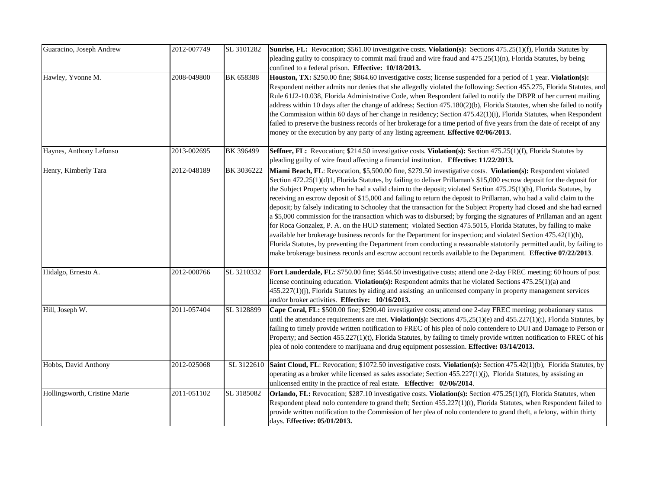| Guaracino, Joseph Andrew      | 2012-007749 | SL 3101282 | Sunrise, FL: Revocation; \$561.00 investigative costs. Violation(s): Sections 475.25(1)(f), Florida Statutes by<br>pleading guilty to conspiracy to commit mail fraud and wire fraud and $475.25(1)(n)$ , Florida Statutes, by being<br>confined to a federal prison. Effective: 10/18/2013.                                                                                                                                                                                                                                                                                                                                                                                                                                                                                                                                                                                                                                                                                                                                                                                                                                                                                                                           |
|-------------------------------|-------------|------------|------------------------------------------------------------------------------------------------------------------------------------------------------------------------------------------------------------------------------------------------------------------------------------------------------------------------------------------------------------------------------------------------------------------------------------------------------------------------------------------------------------------------------------------------------------------------------------------------------------------------------------------------------------------------------------------------------------------------------------------------------------------------------------------------------------------------------------------------------------------------------------------------------------------------------------------------------------------------------------------------------------------------------------------------------------------------------------------------------------------------------------------------------------------------------------------------------------------------|
| Hawley, Yvonne M.             | 2008-049800 | BK 658388  | Houston, TX: \$250.00 fine; \$864.60 investigative costs; license suspended for a period of 1 year. Violation(s):<br>Respondent neither admits nor denies that she allegedly violated the following: Section 455.275, Florida Statutes, and<br>Rule 61J2-10.038, Florida Administrative Code, when Respondent failed to notify the DBPR of her current mailing<br>address within 10 days after the change of address; Section 475.180(2)(b), Florida Statutes, when she failed to notify<br>the Commission within 60 days of her change in residency; Section 475.42(1)(i), Florida Statutes, when Respondent<br>failed to preserve the business records of her brokerage for a time period of five years from the date of receipt of any<br>money or the execution by any party of any listing agreement. Effective 02/06/2013.                                                                                                                                                                                                                                                                                                                                                                                       |
| Haynes, Anthony Lefonso       | 2013-002695 | BK 396499  | Seffner, FL: Revocation; \$214.50 investigative costs. Violation(s): Section 475.25(1)(f), Florida Statutes by<br>pleading guilty of wire fraud affecting a financial institution. Effective: 11/22/2013.                                                                                                                                                                                                                                                                                                                                                                                                                                                                                                                                                                                                                                                                                                                                                                                                                                                                                                                                                                                                              |
| Henry, Kimberly Tara          | 2012-048189 | BK 3036222 | Miami Beach, FL: Revocation, \$5,500.00 fine, \$279.50 investigative costs. Violation(s): Respondent violated<br>Section 472.25(1)(d)1, Florida Statutes, by failing to deliver Prillaman's \$15,000 escrow deposit for the deposit for<br>the Subject Property when he had a valid claim to the deposit; violated Section 475.25(1)(b), Florida Statutes, by<br>receiving an escrow deposit of \$15,000 and failing to return the deposit to Prillaman, who had a valid claim to the<br>deposit; by falsely indicating to Schooley that the transaction for the Subject Property had closed and she had earned<br>a \$5,000 commission for the transaction which was to disbursed; by forging the signatures of Prillaman and an agent<br>for Roca Gonzalez, P. A. on the HUD statement; violated Section 475.5015, Florida Statutes, by failing to make<br>available her brokerage business records for the Department for inspection; and violated Section 475.42(1)(h),<br>Florida Statutes, by preventing the Department from conducting a reasonable statutorily permitted audit, by failing to<br>make brokerage business records and escrow account records available to the Department. Effective 07/22/2013. |
| Hidalgo, Ernesto A.           | 2012-000766 | SL 3210332 | Fort Lauderdale, FL: \$750.00 fine; \$544.50 investigative costs; attend one 2-day FREC meeting; 60 hours of post<br>license continuing education. Violation(s): Respondent admits that he violated Sections 475.25(1)(a) and<br>$(455.227(1)(j))$ , Florida Statutes by aiding and assisting an unlicensed company in property management services<br>and/or broker activities. Effective: 10/16/2013.                                                                                                                                                                                                                                                                                                                                                                                                                                                                                                                                                                                                                                                                                                                                                                                                                |
| Hill, Joseph W.               | 2011-057404 | SL 3128899 | Cape Coral, FL: \$500.00 fine; \$290.40 investigative costs; attend one 2-day FREC meeting; probationary status<br>until the attendance requirements are met. Violation(s): Sections $475,25(1)(e)$ and $455.227(1)(t)$ , Florida Statutes, by<br>failing to timely provide written notification to FREC of his plea of nolo contendere to DUI and Damage to Person or<br>Property; and Section 455.227(1)(t), Florida Statutes, by failing to timely provide written notification to FREC of his<br>plea of nolo contendere to marijuana and drug equipment possession. Effective: 03/14/2013.                                                                                                                                                                                                                                                                                                                                                                                                                                                                                                                                                                                                                        |
| Hobbs, David Anthony          | 2012-025068 | SL 3122610 | <b>Saint Cloud, FL</b> : Revocation; \$1072.50 investigative costs. <b>Violation(s):</b> Section 475.42(1)(b), Florida Statutes, by<br>operating as a broker while licensed as sales associate; Section 455.227(1)(j), Florida Statutes, by assisting an<br>unlicensed entity in the practice of real estate. Effective: 02/06/2014.                                                                                                                                                                                                                                                                                                                                                                                                                                                                                                                                                                                                                                                                                                                                                                                                                                                                                   |
| Hollingsworth, Cristine Marie | 2011-051102 | SL 3185082 | Orlando, FL: Revocation; \$287.10 investigative costs. Violation(s): Section 475.25(1)(f), Florida Statutes, when<br>Respondent plead nolo contendere to grand theft; Section 455.227(1)(t), Florida Statutes, when Respondent failed to<br>provide written notification to the Commission of her plea of nolo contendere to grand theft, a felony, within thirty<br>days. Effective: 05/01/2013.                                                                                                                                                                                                                                                                                                                                                                                                                                                                                                                                                                                                                                                                                                                                                                                                                      |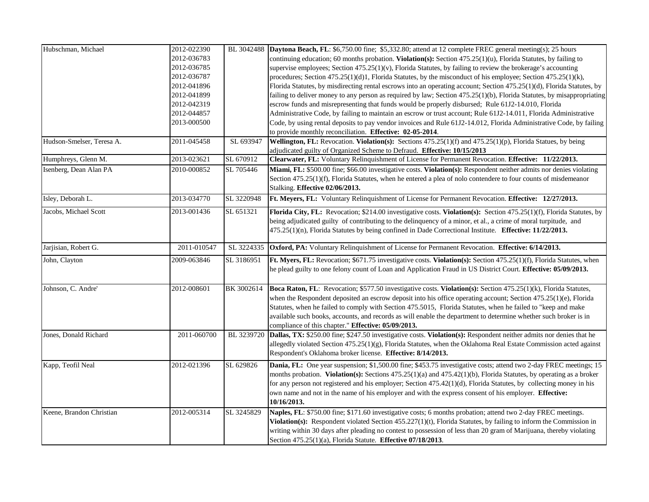| Hubschman, Michael        | 2012-022390 |            | BL 3042488 Daytona Beach, FL: \$6,750.00 fine; \$5,332.80; attend at 12 complete FREC general meeting(s); 25 hours      |
|---------------------------|-------------|------------|-------------------------------------------------------------------------------------------------------------------------|
|                           | 2012-036783 |            | continuing education; 60 months probation. Violation(s): Section 475.25(1)(u), Florida Statutes, by failing to          |
|                           | 2012-036785 |            | supervise employees; Section $475.25(1)(v)$ , Florida Statutes, by failing to review the brokerage's accounting         |
|                           | 2012-036787 |            | procedures; Section 475.25(1)(d)1, Florida Statutes, by the misconduct of his employee; Section 475.25(1)(k),           |
|                           | 2012-041896 |            | Florida Statutes, by misdirecting rental escrows into an operating account; Section 475.25(1)(d), Florida Statutes, by  |
|                           | 2012-041899 |            | failing to deliver money to any person as required by law; Section 475.25(1)(b), Florida Statutes, by misappropriating  |
|                           | 2012-042319 |            | escrow funds and misrepresenting that funds would be properly disbursed; Rule 61J2-14.010, Florida                      |
|                           | 2012-044857 |            | Administrative Code, by failing to maintain an escrow or trust account; Rule 61J2-14.011, Florida Administrative        |
|                           | 2013-000500 |            | Code, by using rental deposits to pay vendor invoices and Rule 61J2-14.012, Florida Administrative Code, by failing     |
|                           |             |            | to provide monthly reconciliation. Effective: 02-05-2014.                                                               |
| Hudson-Smelser, Teresa A. | 2011-045458 | SL 693947  | Wellington, FL: Revocation. Violation(s): Sections 475.25(1)(f) and 475.25(1)(p), Florida Statues, by being             |
|                           |             |            | adjudicated guilty of Organized Scheme to Defraud. Effective: 10/15/2013                                                |
| Humphreys, Glenn M.       | 2013-023621 | SL 670912  | Clearwater, FL: Voluntary Relinquishment of License for Permanent Revocation. Effective: 11/22/2013.                    |
| Isenberg, Dean Alan PA    | 2010-000852 | SL 705446  | Miami, FL: \$500.00 fine; \$66.00 investigative costs. Violation(s): Respondent neither admits nor denies violating     |
|                           |             |            | Section 475.25(1)(f), Florida Statutes, when he entered a plea of nolo contendere to four counts of misdemeanor         |
|                           |             |            | Stalking. Effective 02/06/2013.                                                                                         |
| Isley, Deborah L.         | 2013-034770 | SL 3220948 | Ft. Meyers, FL: Voluntary Relinquishment of License for Permanent Revocation. Effective: 12/27/2013.                    |
| Jacobs, Michael Scott     | 2013-001436 | SL 651321  | Florida City, FL: Revocation; \$214.00 investigative costs. Violation(s): Section 475.25(1)(f), Florida Statutes, by    |
|                           |             |            | being adjudicated guilty of contributing to the delinquency of a minor, et al., a crime of moral turpitude, and         |
|                           |             |            | 475.25(1)(n), Florida Statutes by being confined in Dade Correctional Institute. Effective: 11/22/2013.                 |
|                           |             |            |                                                                                                                         |
| Jarjisian, Robert G.      | 2011-010547 | SL 3224335 | <b>Oxford, PA:</b> Voluntary Relinquishment of License for Permanent Revocation. Effective: 6/14/2013.                  |
| John, Clayton             | 2009-063846 | SL 3186951 | Ft. Myers, FL: Revocation; \$671.75 investigative costs. Violation(s): Section 475.25(1)(f), Florida Statutes, when     |
|                           |             |            | he plead guilty to one felony count of Loan and Application Fraud in US District Court. Effective: 05/09/2013.          |
|                           |             |            |                                                                                                                         |
| Johnson, C. Andre'        | 2012-008601 | BK 3002614 | Boca Raton, FL: Revocation; \$577.50 investigative costs. Violation(s): Section 475.25(1)(k), Florida Statutes,         |
|                           |             |            | when the Respondent deposited an escrow deposit into his office operating account; Section 475.25(1)(e), Florida        |
|                           |             |            | Statutes, when he failed to comply with Section 475.5015, Florida Statutes, when he failed to "keep and make            |
|                           |             |            | available such books, accounts, and records as will enable the department to determine whether such broker is in        |
|                           |             |            | compliance of this chapter." Effective: 05/09/2013.                                                                     |
| Jones, Donald Richard     | 2011-060700 | BL 3239720 | Dallas, TX: \$250.00 fine; \$247.50 investigative costs. Violation(s): Respondent neither admits nor denies that he     |
|                           |             |            | allegedly violated Section 475.25(1)(g), Florida Statutes, when the Oklahoma Real Estate Commission acted against       |
|                           |             |            | Respondent's Oklahoma broker license. Effective: 8/14/2013.                                                             |
| Kapp, Teofil Neal         | 2012-021396 | SL 629826  | Dania, FL: One year suspension; \$1,500.00 fine; \$453.75 investigative costs; attend two 2-day FREC meetings; 15       |
|                           |             |            | months probation. Violation(s): Sections $475.25(1)(a)$ and $475.42(1)(b)$ , Florida Statutes, by operating as a broker |
|                           |             |            | for any person not registered and his employer; Section 475.42(1)(d), Florida Statutes, by collecting money in his      |
|                           |             |            | own name and not in the name of his employer and with the express consent of his employer. <b>Effective:</b>            |
|                           |             |            | 10/16/2013.                                                                                                             |
| Keene, Brandon Christian  | 2012-005314 | SL 3245829 | Naples, FL: \$750.00 fine; \$171.60 investigative costs; 6 months probation; attend two 2-day FREC meetings.            |
|                           |             |            | Violation(s): Respondent violated Section 455.227(1)(t), Florida Statutes, by failing to inform the Commission in       |
|                           |             |            |                                                                                                                         |
|                           |             |            | writing within 30 days after pleading no contest to possession of less than 20 gram of Marijuana, thereby violating     |
|                           |             |            | Section 475.25(1)(a), Florida Statute. Effective 07/18/2013.                                                            |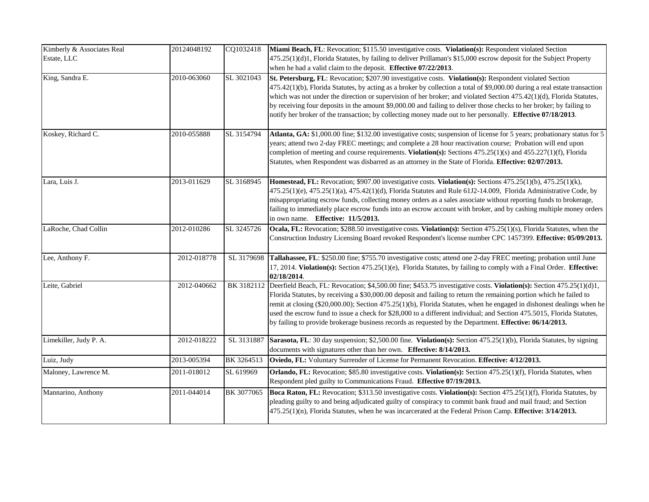| Kimberly & Associates Real<br>Estate, LLC | 20124048192 | CQ1032418  | Miami Beach, FL: Revocation; \$115.50 investigative costs. Violation(s): Respondent violated Section<br>475.25(1)(d)1, Florida Statutes, by failing to deliver Prillaman's \$15,000 escrow deposit for the Subject Property<br>when he had a valid claim to the deposit. Effective 07/22/2013.                                                                                                                                                                                                                                                                                                           |
|-------------------------------------------|-------------|------------|----------------------------------------------------------------------------------------------------------------------------------------------------------------------------------------------------------------------------------------------------------------------------------------------------------------------------------------------------------------------------------------------------------------------------------------------------------------------------------------------------------------------------------------------------------------------------------------------------------|
| King, Sandra E.                           | 2010-063060 | SL 3021043 | St. Petersburg, FL: Revocation; \$207.90 investigative costs. Violation(s): Respondent violated Section<br>475.42(1)(b), Florida Statutes, by acting as a broker by collection a total of \$9,000.00 during a real estate transaction<br>which was not under the direction or supervision of her broker; and violated Section 475.42(1)(d), Florida Statutes,<br>by receiving four deposits in the amount \$9,000.00 and failing to deliver those checks to her broker; by failing to<br>notify her broker of the transaction; by collecting money made out to her personally. Effective 07/18/2013.     |
| Koskey, Richard C.                        | 2010-055888 | SL 3154794 | Atlanta, GA: \$1,000.00 fine; \$132.00 investigative costs; suspension of license for 5 years; probationary status for 5<br>years; attend two 2-day FREC meetings; and complete a 28 hour reactivation course; Probation will end upon<br>completion of meeting and course requirements. Violation(s): Sections 475.25(1)(s) and 455.227(1)(f), Florida<br>Statutes, when Respondent was disbarred as an attorney in the State of Florida. Effective: 02/07/2013.                                                                                                                                        |
| Lara, Luis J.                             | 2013-011629 | SL 3168945 | Homestead, FL: Revocation; \$907.00 investigative costs. Violation(s): Sections 475.25(1)(b), 475.25(1)(k),<br>475.25(1)(e), 475.25(1)(a), 475.42(1)(d), Florida Statutes and Rule 61J2-14.009, Florida Administrative Code, by<br>misappropriating escrow funds, collecting money orders as a sales associate without reporting funds to brokerage,<br>failing to immediately place escrow funds into an escrow account with broker, and by cashing multiple money orders<br>in own name. Effective: 11/5/2013.                                                                                         |
| LaRoche, Chad Collin                      | 2012-010286 | SL 3245726 | Ocala, FL: Revocation; \$288.50 investigative costs. Violation(s): Section 475.25(1)(s), Florida Statutes, when the<br>Construction Industry Licensing Board revoked Respondent's license number CPC 1457399. Effective: 05/09/2013.                                                                                                                                                                                                                                                                                                                                                                     |
| Lee, Anthony F.                           | 2012-018778 | SL 3179698 | Tallahassee, FL: \$250.00 fine; \$755.70 investigative costs; attend one 2-day FREC meeting; probation until June<br>17, 2014. Violation(s): Section 475.25(1)(e), Florida Statutes, by failing to comply with a Final Order. Effective:<br>02/18/2014.                                                                                                                                                                                                                                                                                                                                                  |
| Leite, Gabriel                            | 2012-040662 | BK 3182112 | Deerfield Beach, FL: Revocation; \$4,500.00 fine; \$453.75 investigative costs. Violation(s): Section 475.25(1)(d)1,<br>Florida Statutes, by receiving a \$30,000.00 deposit and failing to return the remaining portion which he failed to<br>remit at closing (\$20,000.00); Section 475.25(1)(b), Florida Statutes, when he engaged in dishonest dealings when he<br>used the escrow fund to issue a check for \$28,000 to a different individual; and Section 475.5015, Florida Statutes,<br>by failing to provide brokerage business records as requested by the Department. Effective: 06/14/2013. |
| Limekiller, Judy P. A.                    | 2012-018222 | SL 3131887 | Sarasota, FL: 30 day suspension; \$2,500.00 fine. Violation(s): Section 475.25(1)(b), Florida Statutes, by signing<br>documents with signatures other than her own. Effective: 8/14/2013.                                                                                                                                                                                                                                                                                                                                                                                                                |
| Luiz, Judy                                | 2013-005394 | BK 3264513 | Oviedo, FL: Voluntary Surrender of License for Permanent Revocation. Effective: 4/12/2013.                                                                                                                                                                                                                                                                                                                                                                                                                                                                                                               |
| Maloney, Lawrence M.                      | 2011-018012 | SL 619969  | Orlando, FL: Revocation; \$85.80 investigative costs. Violation(s): Section 475.25(1)(f), Florida Statutes, when<br>Respondent pled guilty to Communications Fraud. Effective 07/19/2013.                                                                                                                                                                                                                                                                                                                                                                                                                |
| Mannarino, Anthony                        | 2011-044014 | BK 3077065 | Boca Raton, FL: Revocation; \$313.50 investigative costs. Violation(s): Section 475.25(1)(f), Florida Statutes, by<br>pleading guilty to and being adjudicated guilty of conspiracy to commit bank fraud and mail fraud; and Section<br>475.25(1)(n), Florida Statutes, when he was incarcerated at the Federal Prison Camp. Effective: 3/14/2013.                                                                                                                                                                                                                                                       |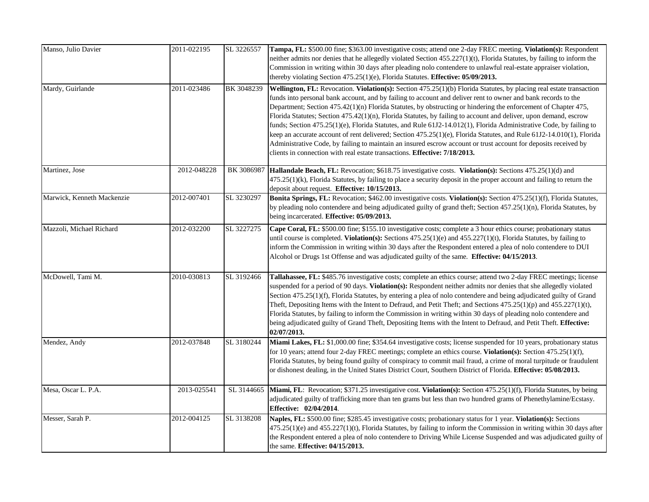| Manso, Julio Davier        | 2011-022195 | SL 3226557 | Tampa, FL: \$500.00 fine; \$363.00 investigative costs; attend one 2-day FREC meeting. Violation(s): Respondent<br>neither admits nor denies that he allegedly violated Section 455.227(1)(t), Florida Statutes, by failing to inform the<br>Commission in writing within 30 days after pleading nolo contendere to unlawful real-estate appraiser violation,<br>thereby violating Section 475.25(1)(e), Florida Statutes. Effective: 05/09/2013.                                                                                                                                                                                                                                                                                                                                                                                                                                                                         |
|----------------------------|-------------|------------|---------------------------------------------------------------------------------------------------------------------------------------------------------------------------------------------------------------------------------------------------------------------------------------------------------------------------------------------------------------------------------------------------------------------------------------------------------------------------------------------------------------------------------------------------------------------------------------------------------------------------------------------------------------------------------------------------------------------------------------------------------------------------------------------------------------------------------------------------------------------------------------------------------------------------|
| Mardy, Guirlande           | 2011-023486 | BK 3048239 | Wellington, FL: Revocation. Violation(s): Section 475.25(1)(b) Florida Statutes, by placing real estate transaction<br>funds into personal bank account, and by failing to account and deliver rent to owner and bank records to the<br>Department; Section 475.42(1)(n) Florida Statutes, by obstructing or hindering the enforcement of Chapter 475,<br>Florida Statutes; Section 475.42(1)(n), Florida Statutes, by failing to account and deliver, upon demand, escrow<br>funds; Section 475.25(1)(e), Florida Statutes, and Rule 61J2-14.012(1), Florida Administrative Code, by failing to<br>keep an accurate account of rent delivered; Section 475.25(1)(e), Florida Statutes, and Rule 61J2-14.010(1), Florida<br>Administrative Code, by failing to maintain an insured escrow account or trust account for deposits received by<br>clients in connection with real estate transactions. Effective: 7/18/2013. |
| Martinez, Jose             | 2012-048228 | BK 3086987 | Hallandale Beach, FL: Revocation; \$618.75 investigative costs. Violation(s): Sections 475.25(1)(d) and<br>475.25(1)(k), Florida Statutes, by failing to place a security deposit in the proper account and failing to return the<br>deposit about request. Effective: 10/15/2013.                                                                                                                                                                                                                                                                                                                                                                                                                                                                                                                                                                                                                                        |
| Marwick, Kenneth Mackenzie | 2012-007401 | SL 3230297 | Bonita Springs, FL: Revocation; \$462.00 investigative costs. Violation(s): Section 475.25(1)(f), Florida Statutes,<br>by pleading nolo contendere and being adjudicated guilty of grand theft; Section 457.25(1)(n), Florida Statutes, by<br>being incarcerated. <b>Effective: 05/09/2013.</b>                                                                                                                                                                                                                                                                                                                                                                                                                                                                                                                                                                                                                           |
| Mazzoli, Michael Richard   | 2012-032200 | SL 3227275 | Cape Coral, FL: \$500.00 fine; \$155.10 investigative costs; complete a 3 hour ethics course; probationary status<br>until course is completed. Violation(s): Sections $475.25(1)(e)$ and $455.227(1)(t)$ , Florida Statutes, by failing to<br>inform the Commission in writing within 30 days after the Respondent entered a plea of nolo contendere to DUI<br>Alcohol or Drugs 1st Offense and was adjudicated guilty of the same. Effective: 04/15/2013.                                                                                                                                                                                                                                                                                                                                                                                                                                                               |
| McDowell, Tami M.          | 2010-030813 | SL 3192466 | Tallahassee, FL: \$485.76 investigative costs; complete an ethics course; attend two 2-day FREC meetings; license<br>suspended for a period of 90 days. Violation(s): Respondent neither admits nor denies that she allegedly violated<br>Section 475.25(1)(f), Florida Statutes, by entering a plea of nolo contendere and being adjudicated guilty of Grand<br>Theft, Depositing Items with the Intent to Defraud, and Petit Theft; and Sections $475.25(1)(p)$ and $455.227(1)(t)$ ,<br>Florida Statutes, by failing to inform the Commission in writing within 30 days of pleading nolo contendere and<br>being adjudicated guilty of Grand Theft, Depositing Items with the Intent to Defraud, and Petit Theft. Effective:<br>02/07/2013.                                                                                                                                                                            |
| Mendez, Andy               | 2012-037848 | SL 3180244 | Miami Lakes, FL: \$1,000.00 fine; \$354.64 investigative costs; license suspended for 10 years, probationary status<br>for 10 years; attend four 2-day FREC meetings; complete an ethics course. Violation(s): Section 475.25(1)(f),<br>Florida Statutes, by being found guilty of conspiracy to commit mail fraud, a crime of moral turpitude or fraudulent<br>or dishonest dealing, in the United States District Court, Southern District of Florida. Effective: 05/08/2013.                                                                                                                                                                                                                                                                                                                                                                                                                                           |
| Mesa, Oscar L. P.A.        | 2013-025541 | SL 3144665 | Miami, FL: Revocation; \$371.25 investigative cost. Violation(s): Section 475.25(1)(f), Florida Statutes, by being<br>adjudicated guilty of trafficking more than ten grams but less than two hundred grams of Phenethylamine/Ecstasy.<br>Effective: 02/04/2014.                                                                                                                                                                                                                                                                                                                                                                                                                                                                                                                                                                                                                                                          |
| Messer, Sarah P.           | 2012-004125 | SL 3138208 | Naples, FL: \$500.00 fine; \$285.45 investigative costs; probationary status for 1 year. Violation(s): Sections<br>$475.25(1)(e)$ and $455.227(1)(t)$ , Florida Statutes, by failing to inform the Commission in writing within 30 days after<br>the Respondent entered a plea of nolo contendere to Driving While License Suspended and was adjudicated guilty of<br>the same. Effective: 04/15/2013.                                                                                                                                                                                                                                                                                                                                                                                                                                                                                                                    |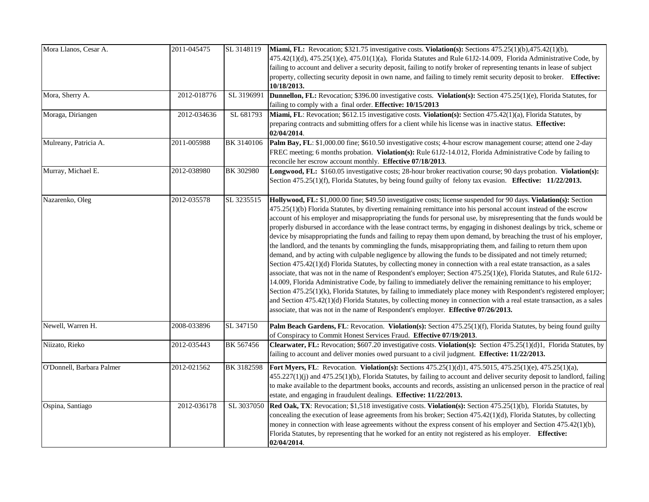| Mora Llanos, Cesar A.     | 2011-045475 | SL 3148119       | <b>Miami, FL:</b> Revocation; \$321.75 investigative costs. <b>Violation(s):</b> Sections $475.25(1)(b)$ , $475.42(1)(b)$ ,<br>475.42(1)(d), 475.25(1)(e), 475.01(1)(a), Florida Statutes and Rule 61J2-14.009, Florida Administrative Code, by<br>failing to account and deliver a security deposit, failing to notify broker of representing tenants in lease of subject<br>property, collecting security deposit in own name, and failing to timely remit security deposit to broker. Effective:<br>10/18/2013.                                                                                                                                                                                                                                                                                                                                                                                                                                                                                                                                                                                                                                                                                                                                                                                                                                                                                                                                                                                                                                            |
|---------------------------|-------------|------------------|---------------------------------------------------------------------------------------------------------------------------------------------------------------------------------------------------------------------------------------------------------------------------------------------------------------------------------------------------------------------------------------------------------------------------------------------------------------------------------------------------------------------------------------------------------------------------------------------------------------------------------------------------------------------------------------------------------------------------------------------------------------------------------------------------------------------------------------------------------------------------------------------------------------------------------------------------------------------------------------------------------------------------------------------------------------------------------------------------------------------------------------------------------------------------------------------------------------------------------------------------------------------------------------------------------------------------------------------------------------------------------------------------------------------------------------------------------------------------------------------------------------------------------------------------------------|
| Mora, Sherry A.           | 2012-018776 | SL 3196991       | Dunnellon, FL: Revocation; \$396.00 investigative costs. Violation(s): Section 475.25(1)(e), Florida Statutes, for<br>failing to comply with a final order. Effective: 10/15/2013                                                                                                                                                                                                                                                                                                                                                                                                                                                                                                                                                                                                                                                                                                                                                                                                                                                                                                                                                                                                                                                                                                                                                                                                                                                                                                                                                                             |
| Moraga, Diriangen         | 2012-034636 | SL 681793        | Miami, FL: Revocation; \$612.15 investigative costs. Violation(s): Section 475.42(1)(a), Florida Statutes, by<br>preparing contracts and submitting offers for a client while his license was in inactive status. Effective:<br>02/04/2014.                                                                                                                                                                                                                                                                                                                                                                                                                                                                                                                                                                                                                                                                                                                                                                                                                                                                                                                                                                                                                                                                                                                                                                                                                                                                                                                   |
| Mulreany, Patricia A.     | 2011-005988 | BK 3140106       | Palm Bay, FL: \$1,000.00 fine; \$610.50 investigative costs; 4-hour escrow management course; attend one 2-day<br>FREC meeting; 6 months probation. Violation(s): Rule 61J2-14.012, Florida Administrative Code by failing to<br>reconcile her escrow account monthly. Effective 07/18/2013.                                                                                                                                                                                                                                                                                                                                                                                                                                                                                                                                                                                                                                                                                                                                                                                                                                                                                                                                                                                                                                                                                                                                                                                                                                                                  |
| Murray, Michael E.        | 2012-038980 | <b>BK 302980</b> | Longwood, FL: \$160.05 investigative costs; 28-hour broker reactivation course; 90 days probation. Violation(s):<br>Section 475.25(1)(f), Florida Statutes, by being found guilty of felony tax evasion. Effective: 11/22/2013.                                                                                                                                                                                                                                                                                                                                                                                                                                                                                                                                                                                                                                                                                                                                                                                                                                                                                                                                                                                                                                                                                                                                                                                                                                                                                                                               |
| Nazarenko, Oleg           | 2012-035578 | SL 3235515       | Hollywood, FL: \$1,000.00 fine; \$49.50 investigative costs; license suspended for 90 days. Violation(s): Section<br>475.25(1)(b) Florida Statutes, by diverting remaining remittance into his personal account instead of the escrow<br>account of his employer and misappropriating the funds for personal use, by misrepresenting that the funds would be<br>properly disbursed in accordance with the lease contract terms, by engaging in dishonest dealings by trick, scheme or<br>device by misappropriating the funds and failing to repay them upon demand, by breaching the trust of his employer,<br>the landlord, and the tenants by commingling the funds, misappropriating them, and failing to return them upon<br>demand, and by acting with culpable negligence by allowing the funds to be dissipated and not timely returned;<br>Section 475.42(1)(d) Florida Statutes, by collecting money in connection with a real estate transaction, as a sales<br>associate, that was not in the name of Respondent's employer; Section 475.25(1)(e), Florida Statutes, and Rule 61J2-<br>14.009, Florida Administrative Code, by failing to immediately deliver the remaining remittance to his employer;<br>Section 475.25(1)(k), Florida Statutes, by failing to immediately place money with Respondent's registered employer;<br>and Section 475.42(1)(d) Florida Statutes, by collecting money in connection with a real estate transaction, as a sales<br>associate, that was not in the name of Respondent's employer. Effective 07/26/2013. |
| Newell, Warren H.         | 2008-033896 | SL 347150        | Palm Beach Gardens, FL: Revocation. Violation(s): Section 475.25(1)(f), Florida Statutes, by being found guilty<br>of Conspiracy to Commit Honest Services Fraud. Effective 07/19/2013.                                                                                                                                                                                                                                                                                                                                                                                                                                                                                                                                                                                                                                                                                                                                                                                                                                                                                                                                                                                                                                                                                                                                                                                                                                                                                                                                                                       |
| Niizato, Rieko            | 2012-035443 | BK 567456        | Clearwater, FL: Revocation; \$607.20 investigative costs. Violation(s): Section 475.25(1)(d)1, Florida Statutes, by<br>failing to account and deliver monies owed pursuant to a civil judgment. <b>Effective: 11/22/2013.</b>                                                                                                                                                                                                                                                                                                                                                                                                                                                                                                                                                                                                                                                                                                                                                                                                                                                                                                                                                                                                                                                                                                                                                                                                                                                                                                                                 |
| O'Donnell, Barbara Palmer | 2012-021562 | BK 3182598       | <b>Fort Myers, FL:</b> Revocation. Violation(s): Sections 475.25(1)(d)1, 475.5015, 475.25(1)(e), 475.25(1)(a),<br>455.227(1)(j) and 475.25(1)(b), Florida Statutes, by failing to account and deliver security deposit to landlord, failing<br>to make available to the department books, accounts and records, assisting an unlicensed person in the practice of real<br>estate, and engaging in fraudulent dealings. Effective: 11/22/2013.                                                                                                                                                                                                                                                                                                                                                                                                                                                                                                                                                                                                                                                                                                                                                                                                                                                                                                                                                                                                                                                                                                                 |
| Ospina, Santiago          | 2012-036178 | SL 3037050       | Red Oak, TX: Revocation; \$1,518 investigative costs. Violation(s): Section 475.25(1)(b), Florida Statutes, by<br>concealing the execution of lease agreements from his broker; Section 475.42(1)(d), Florida Statutes, by collecting<br>money in connection with lease agreements without the express consent of his employer and Section 475.42(1)(b),<br>Florida Statutes, by representing that he worked for an entity not registered as his employer. Effective:<br>02/04/2014.                                                                                                                                                                                                                                                                                                                                                                                                                                                                                                                                                                                                                                                                                                                                                                                                                                                                                                                                                                                                                                                                          |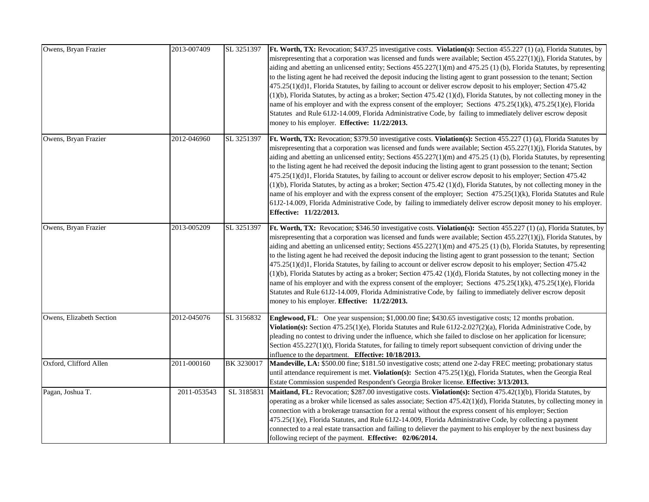| Owens, Bryan Frazier     | 2013-007409 | SL 3251397 | Ft. Worth, TX: Revocation; \$437.25 investigative costs. Violation(s): Section 455.227 (1) (a), Florida Statutes, by<br>misrepresenting that a corporation was licensed and funds were available; Section $455.227(1)(j)$ , Florida Statutes, by<br>aiding and abetting an unlicensed entity; Sections $455.227(1)(m)$ and $475.25(1)(b)$ , Florida Statutes, by representing<br>to the listing agent he had received the deposit inducing the listing agent to grant possession to the tenant; Section<br>475.25(1)(d)1, Florida Statutes, by failing to account or deliver escrow deposit to his employer; Section 475.42<br>$(1)(b)$ , Florida Statutes, by acting as a broker; Section 475.42 $(1)(d)$ , Florida Statutes, by not collecting money in the<br>name of his employer and with the express consent of the employer; Sections $475.25(1)(k)$ , $475.25(1)(e)$ , Florida<br>Statutes and Rule 61J2-14.009, Florida Administrative Code, by failing to immediately deliver escrow deposit<br>money to his employer. Effective: 11/22/2013. |
|--------------------------|-------------|------------|---------------------------------------------------------------------------------------------------------------------------------------------------------------------------------------------------------------------------------------------------------------------------------------------------------------------------------------------------------------------------------------------------------------------------------------------------------------------------------------------------------------------------------------------------------------------------------------------------------------------------------------------------------------------------------------------------------------------------------------------------------------------------------------------------------------------------------------------------------------------------------------------------------------------------------------------------------------------------------------------------------------------------------------------------------|
| Owens, Bryan Frazier     | 2012-046960 | SL 3251397 | Ft. Worth, TX: Revocation; \$379.50 investigative costs. Violation(s): Section 455.227 (1) (a), Florida Statutes by<br>misrepresenting that a corporation was licensed and funds were available; Section $455.227(1)(j)$ , Florida Statutes, by<br>aiding and abetting an unlicensed entity; Sections $455.227(1)(m)$ and $475.25(1)(b)$ , Florida Statutes, by representing<br>to the listing agent he had received the deposit inducing the listing agent to grant possession to the tenant; Section<br>475.25(1)(d)1, Florida Statutes, by failing to account or deliver escrow deposit to his employer; Section 475.42<br>$(1)(b)$ , Florida Statutes, by acting as a broker; Section 475.42 $(1)(d)$ , Florida Statutes, by not collecting money in the<br>name of his employer and with the express consent of the employer; Section 475.25(1)(k), Florida Statutes and Rule<br>61J2-14.009, Florida Administrative Code, by failing to immediately deliver escrow deposit money to his employer.<br>Effective: 11/22/2013.                       |
| Owens, Bryan Frazier     | 2013-005209 | SL 3251397 | Ft. Worth, TX: Revocation; \$346.50 investigative costs. Violation(s): Section 455.227 (1) (a), Florida Statutes, by<br>misrepresenting that a corporation was licensed and funds were available; Section $455.227(1)(j)$ , Florida Statutes, by<br>aiding and abetting an unlicensed entity; Sections $455.227(1)(m)$ and $475.25(1)(b)$ , Florida Statutes, by representing<br>to the listing agent he had received the deposit inducing the listing agent to grant possession to the tenant; Section<br>475.25(1)(d)1, Florida Statutes, by failing to account or deliver escrow deposit to his employer; Section 475.42<br>$(1)(b)$ , Florida Statutes by acting as a broker; Section 475.42 $(1)(d)$ , Florida Statutes, by not collecting money in the<br>name of his employer and with the express consent of the employer; Sections $475.25(1)(k)$ , $475.25(1)(e)$ , Florida<br>Statutes and Rule 61J2-14.009, Florida Administrative Code, by failing to immediately deliver escrow deposit<br>money to his employer. Effective: 11/22/2013.  |
| Owens, Elizabeth Section | 2012-045076 | SL 3156832 | <b>Englewood, FL:</b> One year suspension; \$1,000.00 fine; \$430.65 investigative costs; 12 months probation.<br>Violation(s): Section 475.25(1)(e), Florida Statutes and Rule 61J2-2.027(2)(a), Florida Administrative Code, by<br>pleading no contest to driving under the influence, which she failed to disclose on her application for licensure;<br>Section $455.227(1)(t)$ , Florida Statutes, for failing to timely report subsequent conviction of driving under the<br>influence to the department. Effective: 10/18/2013.                                                                                                                                                                                                                                                                                                                                                                                                                                                                                                                   |
| Oxford, Clifford Allen   | 2011-000160 | BK 3230017 | Mandeville, LA: \$500.00 fine; \$181.50 investigative costs; attend one 2-day FREC meeting; probationary status<br>until attendance requirement is met. Violation(s): Section 475.25(1)(g), Florida Statutes, when the Georgia Real<br>Estate Commission suspended Respondent's Georgia Broker license. Effective: 3/13/2013.                                                                                                                                                                                                                                                                                                                                                                                                                                                                                                                                                                                                                                                                                                                           |
| Pagan, Joshua T.         | 2011-053543 | SL 3185831 | Maitland, FL: Revocation; \$287.00 investigative costs. Violation(s): Section 475.42(1)(b), Florida Statutes, by<br>operating as a broker while licensed as sales associate; Section 475.42(1)(d), Florida Statutes, by collecting money in<br>connection with a brokerage transaction for a rental without the express consent of his employer; Section<br>475.25(1)(e), Florida Statutes, and Rule 61J2-14.009, Florida Administrative Code, by collecting a payment<br>connected to a real estate transaction and failing to deliever the payment to his employer by the next business day<br>following reciept of the payment. Effective: 02/06/2014.                                                                                                                                                                                                                                                                                                                                                                                               |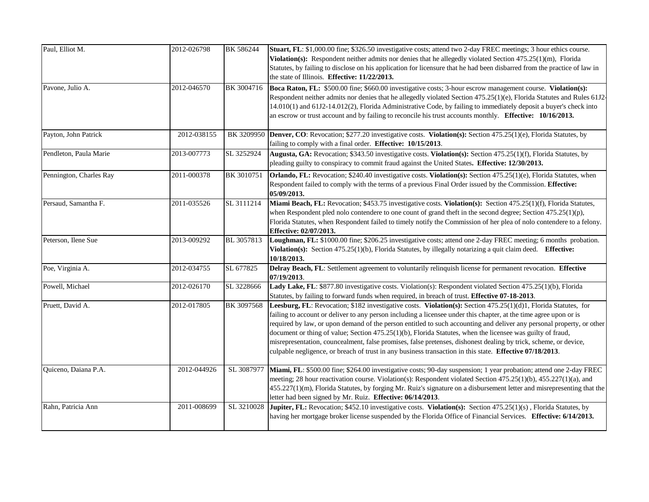| Paul, Elliot M.         | 2012-026798 | BK 586244  | Stuart, FL: \$1,000.00 fine; \$326.50 investigative costs; attend two 2-day FREC meetings; 3 hour ethics course.<br>Violation(s): Respondent neither admits nor denies that he allegedly violated Section $475.25(1)(m)$ , Florida<br>Statutes, by failing to disclose on his application for licensure that he had been disbarred from the practice of law in<br>the state of Illinois. Effective: 11/22/2013.                                                                                                                                                                                                                                                                                             |
|-------------------------|-------------|------------|-------------------------------------------------------------------------------------------------------------------------------------------------------------------------------------------------------------------------------------------------------------------------------------------------------------------------------------------------------------------------------------------------------------------------------------------------------------------------------------------------------------------------------------------------------------------------------------------------------------------------------------------------------------------------------------------------------------|
| Pavone, Julio A.        | 2012-046570 | BK 3004716 | Boca Raton, FL: \$500.00 fine; \$660.00 investigative costs; 3-hour escrow management course. Violation(s):<br>Respondent neither admits nor denies that he allegedly violated Section 475.25(1)(e), Florida Statutes and Rules 61J2<br>14.010(1) and 61J2-14.012(2), Florida Administrative Code, by failing to immediately deposit a buyer's check into<br>an escrow or trust account and by failing to reconcile his trust accounts monthly. Effective: 10/16/2013.                                                                                                                                                                                                                                      |
| Payton, John Patrick    | 2012-038155 |            | BK 3209950 Denver, CO: Revocation; \$277.20 investigative costs. Violation(s): Section 475.25(1)(e), Florida Statutes, by<br>failing to comply with a final order. Effective: 10/15/2013.                                                                                                                                                                                                                                                                                                                                                                                                                                                                                                                   |
| Pendleton, Paula Marie  | 2013-007773 | SL 3252924 | Augusta, GA: Revocation; \$343.50 investigative costs. Violation(s): Section 475.25(1)(f), Florida Statutes, by<br>pleading guilty to conspiracy to commit fraud against the United States. Effective: 12/30/2013.                                                                                                                                                                                                                                                                                                                                                                                                                                                                                          |
| Pennington, Charles Ray | 2011-000378 | BK 3010751 | Orlando, FL: Revocation; \$240.40 investigative costs. Violation(s): Section 475.25(1)(e), Florida Statutes, when<br>Respondent failed to comply with the terms of a previous Final Order issued by the Commission. Effective:<br>05/09/2013.                                                                                                                                                                                                                                                                                                                                                                                                                                                               |
| Persaud, Samantha F.    | 2011-035526 | SL 3111214 | Miami Beach, FL: Revocation; \$453.75 investigative costs. Violation(s): Section 475.25(1)(f), Florida Statutes,<br>when Respondent pled nolo contendere to one count of grand theft in the second degree; Section 475.25(1)(p),<br>Florida Statutes, when Respondent failed to timely notify the Commission of her plea of nolo contendere to a felony.<br>Effective: 02/07/2013.                                                                                                                                                                                                                                                                                                                          |
| Peterson, Ilene Sue     | 2013-009292 | BL 3057813 | Loughman, FL: \$1000.00 fine; \$206.25 investigative costs; attend one 2-day FREC meeting; 6 months probation.<br>Violation(s): Section 475.25(1)(b), Florida Statutes, by illegally notarizing a quit claim deed. Effective:<br>10/18/2013.                                                                                                                                                                                                                                                                                                                                                                                                                                                                |
| Poe, Virginia A.        | 2012-034755 | SL 677825  | Delray Beach, FL: Settlement agreement to voluntarily relinquish license for permanent revocation. Effective<br>07/19/2013.                                                                                                                                                                                                                                                                                                                                                                                                                                                                                                                                                                                 |
| Powell, Michael         | 2012-026170 | SL 3228666 | Lady Lake, FL: \$877.80 investigative costs. Violation(s): Respondent violated Section 475.25(1)(b), Florida<br>Statutes, by failing to forward funds when required, in breach of trust. Effective 07-18-2013.                                                                                                                                                                                                                                                                                                                                                                                                                                                                                              |
| Pruett, David A.        | 2012-017805 | BK 3097568 | Leesburg, FL: Revocation; \$182 investigative costs. Violation(s): Section 475.25(1)(d)1, Florida Statutes, for<br>failing to account or deliver to any person including a licensee under this chapter, at the time agree upon or is<br>required by law, or upon demand of the person entitled to such accounting and deliver any personal property, or other<br>document or thing of value; Section 475.25(1)(b), Florida Statutes, when the licensee was guilty of fraud,<br>misrepresentation, councealment, false promises, false pretenses, dishonest dealing by trick, scheme, or device,<br>culpable negligence, or breach of trust in any business transaction in this state. Effective 07/18/2013. |
| Quiceno, Daiana P.A.    | 2012-044926 | SL 3087977 | Miami, FL: \$500.00 fine; \$264.00 investigative costs; 90-day suspension; 1 year probation; attend one 2-day FREC<br>meeting; 28 hour reactivation course. Violation(s): Respondent violated Section 475.25(1)(b), 455.227(1)(a), and<br>455.227(1)(m), Florida Statutes, by forging Mr. Ruiz's signature on a disbursement letter and misrepresenting that the<br>letter had been signed by Mr. Ruiz. Effective: 06/14/2013.                                                                                                                                                                                                                                                                              |
| Rahn, Patricia Ann      | 2011-008699 | SL 3210028 | Jupiter, FL: Revocation; \$452.10 investigative costs. Violation(s): Section 475.25(1)(s), Florida Statutes, by<br>having her mortgage broker license suspended by the Florida Office of Financial Services. Effective: 6/14/2013.                                                                                                                                                                                                                                                                                                                                                                                                                                                                          |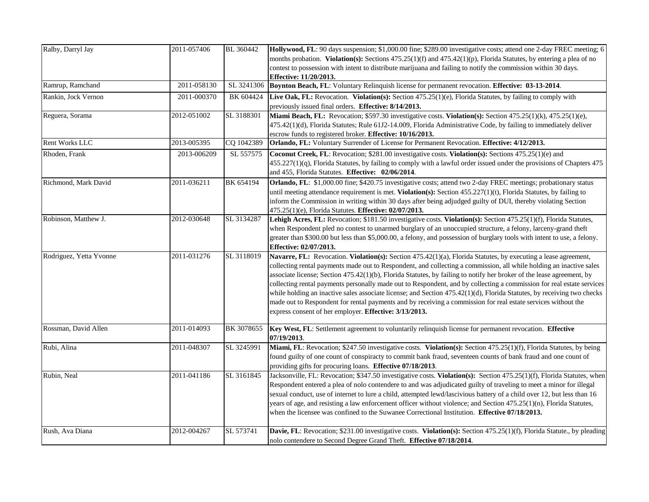| Ralby, Darryl Jay       | 2011-057406 | BL 360442  | Hollywood, FL: 90 days suspension; \$1,000.00 fine; \$289.00 investigative costs; attend one 2-day FREC meeting; 6<br>months probation. Violation(s): Sections 475.25(1)(f) and 475.42(1)(p), Florida Statutes, by entering a plea of no<br>contest to possession with intent to distribute marijuana and failing to notify the commission within 30 days.<br>Effective: 11/20/2013.                                                                                                                                                                                                                                                                                                                                                                                                         |
|-------------------------|-------------|------------|----------------------------------------------------------------------------------------------------------------------------------------------------------------------------------------------------------------------------------------------------------------------------------------------------------------------------------------------------------------------------------------------------------------------------------------------------------------------------------------------------------------------------------------------------------------------------------------------------------------------------------------------------------------------------------------------------------------------------------------------------------------------------------------------|
| Ramrup, Ramchand        | 2011-058130 | SL 3241306 | Boynton Beach, FL: Voluntary Relinquish license for permanent revocation. Effective: 03-13-2014.                                                                                                                                                                                                                                                                                                                                                                                                                                                                                                                                                                                                                                                                                             |
| Rankin, Jock Vernon     | 2011-000370 | BK 604424  | Live Oak, FL: Revocation. Violation(s): Section 475.25(1)(e), Florida Statutes, by failing to comply with<br>previously issued final orders. Effective: 8/14/2013.                                                                                                                                                                                                                                                                                                                                                                                                                                                                                                                                                                                                                           |
| Reguera, Sorama         | 2012-051002 | SL 3188301 | Miami Beach, FL: Revocation; \$597.30 investigative costs. Violation(s): Section 475.25(1)(k), 475.25(1)(e),<br>475.42(1)(d), Florida Statutes; Rule 61J2-14.009, Florida Administrative Code, by failing to immediately deliver<br>escrow funds to registered broker. Effective: 10/16/2013.                                                                                                                                                                                                                                                                                                                                                                                                                                                                                                |
| <b>Rent Works LLC</b>   | 2013-005395 | CQ 1042389 | Orlando, FL: Voluntary Surrender of License for Permanent Revocation. Effective: 4/12/2013.                                                                                                                                                                                                                                                                                                                                                                                                                                                                                                                                                                                                                                                                                                  |
| Rhoden, Frank           | 2013-006209 | SL 557575  | Coconut Creek, FL: Revocation; \$281.00 investigative costs. Violation(s): Sections 475.25(1)(e) and<br>$455.227(1)(q)$ , Florida Statutes, by failing to comply with a lawful order issued under the provisions of Chapters 475<br>and 455, Florida Statutes. Effective: 02/06/2014.                                                                                                                                                                                                                                                                                                                                                                                                                                                                                                        |
| Richmond, Mark David    | 2011-036211 | BK 654194  | Orlando, FL: \$1,000.00 fine; \$420.75 investigative costs; attend two 2-day FREC meetings; probationary status<br>until meeting attendance requirement is met. Violation(s): Section $455.227(1)(t)$ , Florida Statutes, by failing to<br>inform the Commission in writing within 30 days after being adjudged guilty of DUI, thereby violating Section<br>475.25(1)(e), Florida Statutes. Effective: 02/07/2013.                                                                                                                                                                                                                                                                                                                                                                           |
| Robinson, Matthew J.    | 2012-030648 | SL 3134287 | Lehigh Acres, FL: Revocation; \$181.50 investigative costs. Violation(s): Section 475.25(1)(f), Florida Statutes,<br>when Respondent pled no contest to unarmed burglary of an unoccupied structure, a felony, larceny-grand theft<br>greater than \$300.00 but less than \$5,000.00, a felony, and possession of burglary tools with intent to use, a felony.<br>Effective: 02/07/2013.                                                                                                                                                                                                                                                                                                                                                                                                     |
| Rodriguez, Yetta Yvonne | 2011-031276 | SL 3118019 | Navarre, FL: Revocation. Violation(s): Section 475.42(1)(a), Florida Statutes, by executing a lease agreement,<br>collecting rental payments made out to Respondent, and collecting a commission, all while holding an inactive sales<br>associate license; Section 475.42(1)(b), Florida Statutes, by failing to notify her broker of the lease agreement, by<br>collecting rental payments personally made out to Respondent, and by collecting a commission for real estate services<br>while holding an inactive sales associate license; and Section 475.42(1)(d), Florida Statutes, by receiving two checks<br>made out to Respondent for rental payments and by receiving a commission for real estate services without the<br>express consent of her employer. Effective: 3/13/2013. |
| Rossman, David Allen    | 2011-014093 |            | BK 3078655 Key West, FL: Settlement agreement to voluntarily relinquish license for permanent revocation. Effective<br>07/19/2013.                                                                                                                                                                                                                                                                                                                                                                                                                                                                                                                                                                                                                                                           |
| Rubi, Alina             | 2011-048307 | SL 3245991 | Miami, FL: Revocation; \$247.50 investigative costs. Violation(s): Section 475.25(1)(f), Florida Statutes, by being<br>found guilty of one count of conspiracty to commit bank fraud, seventeen counts of bank fraud and one count of<br>providing gifts for procuring loans. Effective 07/18/2013.                                                                                                                                                                                                                                                                                                                                                                                                                                                                                          |
| Rubin, Neal             | 2011-041186 | SL 3161845 | Jacksonville, FL: Revocation; \$347.50 investigative costs. Violation(s): Section 475.25(1)(f), Florida Statutes, when<br>Respondent entered a plea of nolo contendere to and was adjudicated guilty of traveling to meet a minor for illegal<br>sexual conduct, use of internet to lure a child, attempted lewd/lascivious battery of a child over 12, but less than 16<br>years of age, and resisting a law enforcement officer without violence; and Section 475.25(1)(n), Florida Statutes,<br>when the licensee was confined to the Suwanee Correctional Institution. <b>Effective 07/18/2013.</b>                                                                                                                                                                                      |
| Rush, Ava Diana         | 2012-004267 | SL 573741  | Davie, FL: Revocation; \$231.00 investigative costs. Violation(s): Section 475.25(1)(f), Florida Statute., by pleading<br>nolo contendere to Second Degree Grand Theft. Effective 07/18/2014.                                                                                                                                                                                                                                                                                                                                                                                                                                                                                                                                                                                                |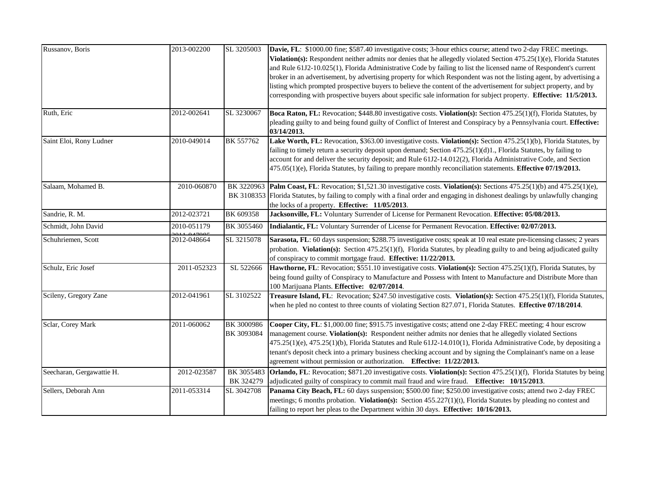| Russanov, Boris           | 2013-002200 | SL 3205003               | Davie, FL: \$1000.00 fine; \$587.40 investigative costs; 3-hour ethics course; attend two 2-day FREC meetings.<br>Violation(s): Respondent neither admits nor denies that he allegedly violated Section 475.25(1)(e), Florida Statutes<br>and Rule 61J2-10.025(1), Florida Administrative Code by failing to list the licensed name of Respondent's current<br>broker in an advertisement, by advertising property for which Respondent was not the listing agent, by advertising a                                                          |
|---------------------------|-------------|--------------------------|----------------------------------------------------------------------------------------------------------------------------------------------------------------------------------------------------------------------------------------------------------------------------------------------------------------------------------------------------------------------------------------------------------------------------------------------------------------------------------------------------------------------------------------------|
|                           |             |                          | listing which prompted prospective buyers to believe the content of the advertisement for subject property, and by<br>corresponding with prospective buyers about specific sale information for subject property. Effective: 11/5/2013.                                                                                                                                                                                                                                                                                                      |
| Ruth, Eric                | 2012-002641 | SL 3230067               | Boca Raton, FL: Revocation; \$448.80 investigative costs. Violation(s): Section 475.25(1)(f), Florida Statutes, by<br>pleading guilty to and being found guilty of Conflict of Interest and Conspiracy by a Pennsylvania court. Effective:<br>03/14/2013.                                                                                                                                                                                                                                                                                    |
| Saint Eloi, Rony Ludner   | 2010-049014 | BK 557762                | Lake Worth, FL: Revocation, \$363.00 investigative costs. Violation(s): Section 475.25(1)(b), Florida Statutes, by<br>failing to timely return a security deposit upon demand; Section 475.25(1)(d)1., Florida Statutes, by failing to<br>account for and deliver the security deposit; and Rule 61J2-14.012(2), Florida Administrative Code, and Section<br>475.05(1)(e), Florida Statutes, by failing to prepare monthly reconciliation statements. Effective 07/19/2013.                                                                  |
| Salaam, Mohamed B.        | 2010-060870 |                          | BK 3220963 Palm Coast, FL: Revocation; \$1,521.30 investigative costs. Violation(s): Sections 475.25(1)(b) and 475.25(1)(e),<br>BK 3108353 Florida Statutes, by failing to comply with a final order and engaging in dishonest dealings by unlawfully changing<br>the locks of a property. Effective: 11/05/2013.                                                                                                                                                                                                                            |
| Sandrie, R. M.            | 2012-023721 | BK 609358                | Jacksonville, FL: Voluntary Surrender of License for Permanent Revocation. Effective: 05/08/2013.                                                                                                                                                                                                                                                                                                                                                                                                                                            |
| Schmidt, John David       | 2010-051179 | BK 3055460               | Indialantic, FL: Voluntary Surrender of License for Permanent Revocation. Effective: 02/07/2013.                                                                                                                                                                                                                                                                                                                                                                                                                                             |
| Schuhriemen, Scott        | 2012-048664 | SL 3215078               | Sarasota, FL: 60 days suspension; \$288.75 investigative costs; speak at 10 real estate pre-licensing classes; 2 years<br>probation. Violation(s): Section 475.25(1)(f), Florida Statutes, by pleading guilty to and being adjudicated guilty<br>of conspiracy to commit mortgage fraud. Effective: 11/22/2013.                                                                                                                                                                                                                              |
| Schulz, Eric Josef        | 2011-052323 | SL 522666                | Hawthorne, FL: Revocation; \$551.10 investigative costs. Violation(s): Section 475.25(1)(f), Florida Statutes, by<br>being found guilty of Conspiracy to Manufacture and Possess with Intent to Manufacture and Distribute More than<br>100 Marijuana Plants. Effective: 02/07/2014.                                                                                                                                                                                                                                                         |
| Scileny, Gregory Zane     | 2012-041961 | SL 3102522               | Treasure Island, FL: Revocation; \$247.50 investigative costs. Violation(s): Section 475.25(1)(f), Florida Statutes,<br>when he pled no contest to three counts of violating Section 827.071, Florida Statutes. Effective 07/18/2014.                                                                                                                                                                                                                                                                                                        |
| Sclar, Corey Mark         | 2011-060062 | BK 3000986<br>BK 3093084 | Cooper City, FL: \$1,000.00 fine; \$915.75 investigative costs; attend one 2-day FREC meeting; 4 hour escrow<br>management course. Violation(s): Respondent neither admits nor denies that he allegedly violated Sections<br>475.25(1)(e), 475.25(1)(b), Florida Statutes and Rule 61J2-14.010(1), Florida Administrative Code, by depositing a<br>tenant's deposit check into a primary business checking account and by signing the Complainant's name on a lease<br>agreement without permission or authorization. Effective: 11/22/2013. |
| Seecharan, Gergawattie H. | 2012-023587 | BK 3055483<br>BK 324279  | <b>Orlando, FL:</b> Revocation; \$871.20 investigative costs. Violation(s): Section 475.25(1)(f), Florida Statutes by being<br>adjudicated guilty of conspiracy to commit mail fraud and wire fraud. Effective: 10/15/2013.                                                                                                                                                                                                                                                                                                                  |
| Sellers, Deborah Ann      | 2011-053314 | SL 3042708               | Panama City Beach, FL: 60 days suspension; \$500.00 fine; \$250.00 investigative costs; attend two 2-day FREC<br>meetings; 6 months probation. Violation(s): Section 455.227(1)(t), Florida Statutes by pleading no contest and<br>failing to report her pleas to the Department within 30 days. Effective: 10/16/2013.                                                                                                                                                                                                                      |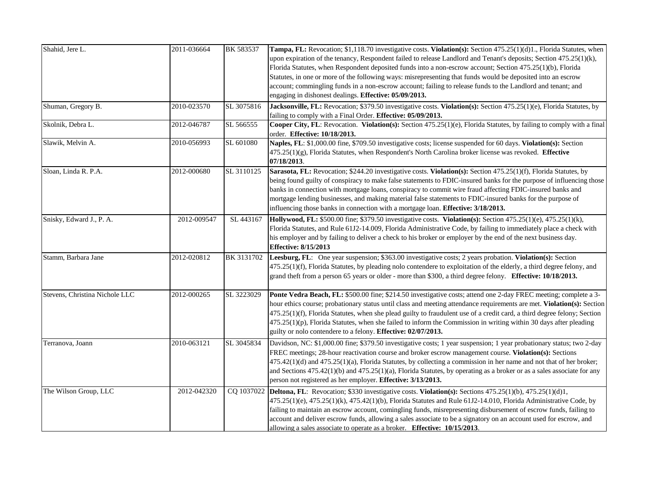| Shahid, Jere L.                | 2011-036664 | BK 583537  | Tampa, FL: Revocation; \$1,118.70 investigative costs. Violation(s): Section 475.25(1)(d)1., Florida Statutes, when<br>upon expiration of the tenancy, Respondent failed to release Landlord and Tenant's deposits; Section 475.25(1)(k),<br>Florida Statutes, when Respondent deposited funds into a non-escrow account; Section 475.25(1)(b), Florida<br>Statutes, in one or more of the following ways: misrepresenting that funds would be deposited into an escrow<br>account; commingling funds in a non-escrow account; failing to release funds to the Landlord and tenant; and<br>engaging in dishonest dealings. Effective: 05/09/2013. |
|--------------------------------|-------------|------------|---------------------------------------------------------------------------------------------------------------------------------------------------------------------------------------------------------------------------------------------------------------------------------------------------------------------------------------------------------------------------------------------------------------------------------------------------------------------------------------------------------------------------------------------------------------------------------------------------------------------------------------------------|
| Shuman, Gregory B.             | 2010-023570 | SL 3075816 | Jacksonville, FL: Revocation; \$379.50 investigative costs. Violation(s): Section 475.25(1)(e), Florida Statutes, by<br>failing to comply with a Final Order. Effective: 05/09/2013.                                                                                                                                                                                                                                                                                                                                                                                                                                                              |
| Skolnik, Debra L.              | 2012-046787 | SL 566555  | Cooper City, FL: Revocation. Violation(s): Section 475.25(1)(e), Florida Statutes, by failing to comply with a final<br>order. Effective: 10/18/2013.                                                                                                                                                                                                                                                                                                                                                                                                                                                                                             |
| Slawik, Melvin A.              | 2010-056993 | SL 601080  | Naples, FL: \$1,000.00 fine, \$709.50 investigative costs; license suspended for 60 days. Violation(s): Section<br>475.25(1)(g), Florida Statutes, when Respondent's North Carolina broker license was revoked. Effective<br>07/18/2013.                                                                                                                                                                                                                                                                                                                                                                                                          |
| Sloan, Linda R. P.A.           | 2012-000680 | SL 3110125 | Sarasota, FL: Revocation; \$244.20 investigative costs. Violation(s): Section 475.25(1)(f), Florida Statutes, by<br>being found guilty of conspiracy to make false statements to FDIC-insured banks for the purpose of influencing those<br>banks in connection with mortgage loans, conspiracy to commit wire fraud affecting FDIC-insured banks and<br>mortgage lending businesses, and making material false statements to FDIC-insured banks for the purpose of<br>influencing those banks in connection with a mortgage loan. Effective: 3/18/2013.                                                                                          |
| Snisky, Edward J., P. A.       | 2012-009547 | SL 443167  | Hollywood, FL: \$500.00 fine; \$379.50 investigative costs. Violation(s): Section 475.25(1)(e), 475.25(1)(k),<br>Florida Statutes, and Rule 61J2-14.009, Florida Administrative Code, by failing to immediately place a check with<br>his employer and by failing to deliver a check to his broker or employer by the end of the next business day.<br><b>Effective: 8/15/2013</b>                                                                                                                                                                                                                                                                |
| Stamm, Barbara Jane            | 2012-020812 | BK 3131702 | Leesburg, FL: One year suspension; \$363.00 investigative costs; 2 years probation. Violation(s): Section<br>475.25(1)(f), Florida Statutes, by pleading nolo contendere to exploitation of the elderly, a third degree felony, and<br>grand theft from a person 65 years or older - more than \$300, a third degree felony. Effective: 10/18/2013.                                                                                                                                                                                                                                                                                               |
| Stevens, Christina Nichole LLC | 2012-000265 | SL 3223029 | Ponte Vedra Beach, FL: \$500.00 fine; \$214.50 investigative costs; attend one 2-day FREC meeting; complete a 3-<br>hour ethics course; probationary status until class and meeting attendance requirements are met. Violation(s): Section<br>475.25(1)(f), Florida Statutes, when she plead guilty to fraudulent use of a credit card, a third degree felony; Section<br>$475.25(1)(p)$ , Florida Statutes, when she failed to inform the Commission in writing within 30 days after pleading<br>guilty or nolo contendere to a felony. Effective: 02/07/2013.                                                                                   |
| Terranova, Joann               | 2010-063121 | SL 3045834 | Davidson, NC: \$1,000.00 fine; \$379.50 investigative costs; 1 year suspension; 1 year probationary status; two 2-day<br>FREC meetings; 28-hour reactivation course and broker escrow management course. Violation(s): Sections<br>475.42(1)(d) and 475.25(1)(a), Florida Statutes, by collecting a commission in her name and not that of her broker;<br>and Sections 475.42(1)(b) and 475.25(1)(a), Florida Statutes, by operating as a broker or as a sales associate for any<br>person not registered as her employer. Effective: 3/13/2013.                                                                                                  |
| The Wilson Group, LLC          | 2012-042320 |            | CQ 1037022 Deltona, FL: Revocation; \$330 investigative costs. Violation(s): Sections 475.25(1)(b), 475.25(1)(d)1,<br>475.25(1)(e), 475.25(1)(k), 475.42(1)(b), Florida Statutes and Rule 61J2-14.010, Florida Administrative Code, by<br>failing to maintain an escrow account, comingling funds, misrepresenting disbursement of escrow funds, failing to<br>account and deliver escrow funds, allowing a sales associate to be a signatory on an account used for escrow, and<br>allowing a sales associate to operate as a broker. Effective: 10/15/2013.                                                                                     |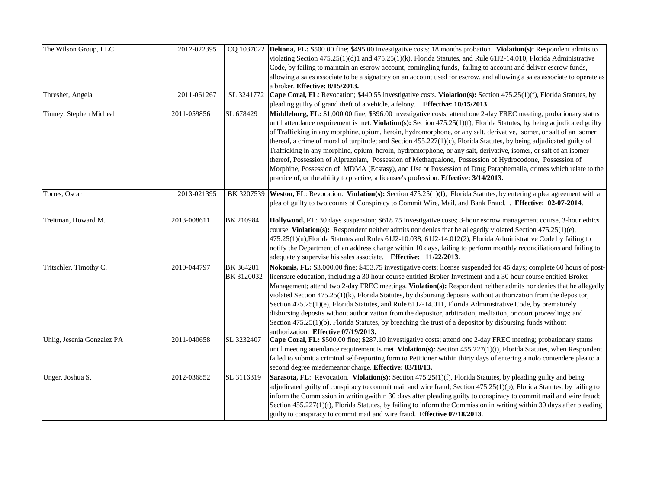| The Wilson Group, LLC      | 2012-022395 |                         | CQ 1037022 Deltona, FL: \$500.00 fine; \$495.00 investigative costs; 18 months probation. Violation(s): Respondent admits to<br>violating Section 475.25(1)(d)1 and 475.25(1)(k), Florida Statutes, and Rule 61J2-14.010, Florida Administrative<br>Code, by failing to maintain an escrow account, comingling funds, failing to account and deliver escrow funds,<br>allowing a sales associate to be a signatory on an account used for escrow, and allowing a sales associate to operate as<br>a broker. Effective: 8/15/2013.                                                                                                                                                                                                                                                                                                                                                                                                         |
|----------------------------|-------------|-------------------------|-------------------------------------------------------------------------------------------------------------------------------------------------------------------------------------------------------------------------------------------------------------------------------------------------------------------------------------------------------------------------------------------------------------------------------------------------------------------------------------------------------------------------------------------------------------------------------------------------------------------------------------------------------------------------------------------------------------------------------------------------------------------------------------------------------------------------------------------------------------------------------------------------------------------------------------------|
| Thresher, Angela           | 2011-061267 | SL 3241772              | Cape Coral, FL: Revocation; \$440.55 investigative costs. Violation(s): Section 475.25(1)(f), Florida Statutes, by<br>pleading guilty of grand theft of a vehicle, a felony. Effective: 10/15/2013.                                                                                                                                                                                                                                                                                                                                                                                                                                                                                                                                                                                                                                                                                                                                       |
| Tinney, Stephen Micheal    | 2011-059856 | SL 678429               | Middleburg, FL: \$1,000.00 fine; \$396.00 investigative costs; attend one 2-day FREC meeting, probationary status<br>until attendance requirement is met. Violation(s): Section 475.25(1)(f), Florida Statutes, by being adjudicated guilty<br>of Trafficking in any morphine, opium, heroin, hydromorphone, or any salt, derivative, isomer, or salt of an isomer<br>thereof, a crime of moral of turpitude; and Section $455.227(1)(c)$ , Florida Statutes, by being adjudicated guilty of<br>Trafficking in any morphine, opium, heroin, hydromorphone, or any salt, derivative, isomer, or salt of an isomer<br>thereof, Possession of Alprazolam, Possession of Methaqualone, Possession of Hydrocodone, Possession of<br>Morphine, Possession of MDMA (Ecstasy), and Use or Possession of Drug Paraphernalia, crimes which relate to the<br>practice of, or the ability to practice, a licensee's profession. Effective: 3/14/2013. |
| Torres, Oscar              | 2013-021395 |                         | BK 3207539 Weston, FL: Revocation. Violation(s): Section 475.25(1)(f), Florida Statutes, by entering a plea agreement with a<br>plea of guilty to two counts of Conspiracy to Commit Wire, Mail, and Bank Fraud. . Effective: 02-07-2014.                                                                                                                                                                                                                                                                                                                                                                                                                                                                                                                                                                                                                                                                                                 |
| Treitman, Howard M.        | 2013-008611 | BK 210984               | Hollywood, FL: 30 days suspension; \$618.75 investigative costs; 3-hour escrow management course, 3-hour ethics<br>course. Violation(s): Respondent neither admits nor denies that he allegedly violated Section 475.25(1)(e),<br>$475.25(1)(u)$ , Florida Statutes and Rules 61J2-10.038, 61J2-14.012(2), Florida Administrative Code by failing to<br>notify the Department of an address change within 10 days, failing to perform monthly reconciliations and failing to<br>adequately supervise his sales associate. Effective: 11/22/2013.                                                                                                                                                                                                                                                                                                                                                                                          |
| Tritschler, Timothy C.     | 2010-044797 | BK 364281<br>BK 3120032 | Nokomis, FL: \$3,000.00 fine; \$453.75 investigative costs; license suspended for 45 days; complete 60 hours of post-<br>licensure education, including a 30 hour course entitled Broker-Investment and a 30 hour course entitled Broker-<br>Management; attend two 2-day FREC meetings. Violation(s): Respondent neither admits nor denies that he allegedly<br>violated Section 475.25(1)(k), Florida Statutes, by disbursing deposits without authorization from the depositor;<br>Section 475.25(1)(e), Florida Statutes, and Rule 61J2-14.011, Florida Administrative Code, by prematurely<br>disbursing deposits without authorization from the depositor, arbitration, mediation, or court proceedings; and<br>Section 475.25(1)(b), Florida Statutes, by breaching the trust of a depositor by disbursing funds without<br>authorization. Effective 07/19/2013.                                                                   |
| Uhlig, Jesenia Gonzalez PA | 2011-040658 | SL 3232407              | Cape Coral, FL: \$500.00 fine; \$287.10 investigative costs; attend one 2-day FREC meeting; probationary status<br>until meeting attendance requirement is met. Violation(s): Section $455.227(1)(t)$ , Florida Statutes, when Respondent<br>failed to submit a criminal self-reporting form to Petitioner within thirty days of entering a nolo contendere plea to a<br>second degree misdemeanor charge. Effective: 03/18/13.                                                                                                                                                                                                                                                                                                                                                                                                                                                                                                           |
| Unger, Joshua S.           | 2012-036852 | SL 3116319              | Sarasota, FL: Revocation. Violation(s): Section 475.25(1)(f), Florida Statutes, by pleading guilty and being<br>adjudicated guilty of conspiracy to commit mail and wire fraud; Section 475.25(1)(p), Florida Statutes, by failing to<br>inform the Commission in writin gwithin 30 days after pleading guilty to conspiracy to commit mail and wire fraud;<br>Section 455.227(1)(t), Florida Statutes, by failing to inform the Commission in writing within 30 days after pleading<br>guilty to conspiracy to commit mail and wire fraud. Effective 07/18/2013.                                                                                                                                                                                                                                                                                                                                                                         |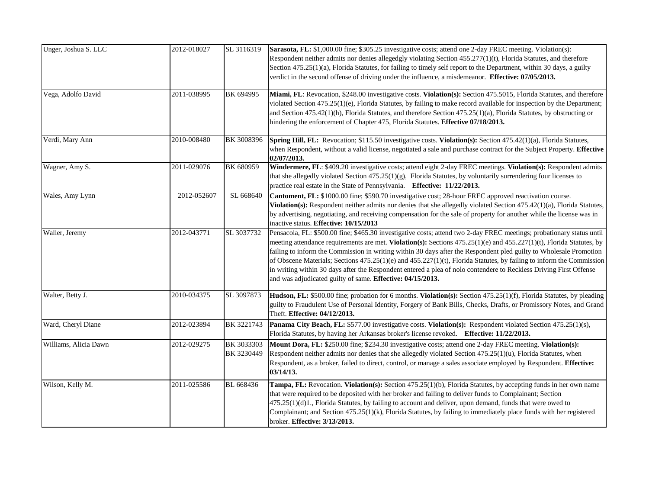| Unger, Joshua S. LLC  | 2012-018027 | SL 3116319               | Sarasota, FL: \$1,000.00 fine; \$305.25 investigative costs; attend one 2-day FREC meeting. Violation(s):<br>Respondent neither admits nor denies allegedgly violating Section 455.277(1)(t), Florida Statutes, and therefore<br>Section 475.25(1)(a), Florida Statutes, for failing to timely self report to the Department, within 30 days, a guilty<br>verdict in the second offense of driving under the influence, a misdemeanor. Effective: 07/05/2013.                                                                                                                                                                                                                   |
|-----------------------|-------------|--------------------------|---------------------------------------------------------------------------------------------------------------------------------------------------------------------------------------------------------------------------------------------------------------------------------------------------------------------------------------------------------------------------------------------------------------------------------------------------------------------------------------------------------------------------------------------------------------------------------------------------------------------------------------------------------------------------------|
| Vega, Adolfo David    | 2011-038995 | BK 694995                | Miami, FL: Revocation, \$248.00 investigative costs. Violation(s): Section 475.5015, Florida Statutes, and therefore<br>violated Section 475.25(1)(e), Florida Statutes, by failing to make record available for inspection by the Department;<br>and Section 475.42(1)(h), Florida Statutes, and therefore Section 475.25(1)(a), Florida Statutes, by obstructing or<br>hindering the enforcement of Chapter 475, Florida Statutes. Effective 07/18/2013.                                                                                                                                                                                                                      |
| Verdi, Mary Ann       | 2010-008480 | BK 3008396               | Spring Hill, FL: Revocation; \$115.50 investigative costs. Violation(s): Section 475.42(1)(a), Florida Statutes,<br>when Respondent, without a valid license, negotiated a sale and purchase contract for the Subject Property. Effective<br>02/07/2013.                                                                                                                                                                                                                                                                                                                                                                                                                        |
| Wagner, Amy S.        | 2011-029076 | BK 680959                | Windermere, FL: \$409.20 investigative costs; attend eight 2-day FREC meetings. Violation(s): Respondent admits<br>that she allegedly violated Section 475.25(1)(g), Florida Statutes, by voluntarily surrendering four licenses to<br>practice real estate in the State of Pennsylvania. Effective: 11/22/2013.                                                                                                                                                                                                                                                                                                                                                                |
| Wales, Amy Lynn       | 2012-052607 | SL 668640                | Cantoment, FL: \$1000.00 fine; \$590.70 investigative cost; 28-hour FREC approved reactivation course.<br>Violation(s): Respondent neither admits nor denies that she allegedly violated Section 475.42(1)(a), Florida Statutes,<br>by advertising, negotiating, and receiving compensation for the sale of property for another while the license was in<br>inactive status. Effective: 10/15/2013                                                                                                                                                                                                                                                                             |
| Waller, Jeremy        | 2012-043771 | SL 3037732               | Pensacola, FL: \$500.00 fine; \$465.30 investigative costs; attend two 2-day FREC meetings; probationary status until<br>meeting attendance requirements are met. Violation(s): Sections 475.25(1)(e) and 455.227(1)(t), Florida Statutes, by<br>failing to inform the Commission in writing within 30 days after the Respondent pled guilty to Wholesale Promotion<br>of Obscene Materials; Sections 475.25(1)(e) and 455.227(1)(t), Florida Statutes, by failing to inform the Commission<br>in writing within 30 days after the Respondent entered a plea of nolo contendere to Reckless Driving First Offense<br>and was adjudicated guilty of same. Effective: 04/15/2013. |
| Walter, Betty J.      | 2010-034375 | SL 3097873               | Hudson, FL: \$500.00 fine; probation for 6 months. Violation(s): Section 475.25(1)(f), Florida Statutes, by pleading<br>guilty to Fraudulent Use of Personal Identity, Forgery of Bank Bills, Checks, Drafts, or Promissory Notes, and Grand<br>Theft. Effective: 04/12/2013.                                                                                                                                                                                                                                                                                                                                                                                                   |
| Ward, Cheryl Diane    | 2012-023894 | BK 3221743               | Panama City Beach, FL: \$577.00 investigative costs. Violation(s): Respondent violated Section 475.25(1)(s),<br>Florida Statutes, by having her Arkansas broker's license revoked. Effective: 11/22/2013.                                                                                                                                                                                                                                                                                                                                                                                                                                                                       |
| Williams, Alicia Dawn | 2012-029275 | BK 3033303<br>BK 3230449 | Mount Dora, FL: \$250.00 fine; \$234.30 investigative costs; attend one 2-day FREC meeting. Violation(s):<br>Respondent neither admits nor denies that she allegedly violated Section 475.25(1)(u), Florida Statutes, when<br>Respondent, as a broker, failed to direct, control, or manage a sales associate employed by Respondent. Effective:<br>03/14/13.                                                                                                                                                                                                                                                                                                                   |
| Wilson, Kelly M.      | 2011-025586 | BL 668436                | Tampa, FL: Revocation. Violation(s): Section 475.25(1)(b), Florida Statutes, by accepting funds in her own name<br>that were required to be deposited with her broker and failing to deliver funds to Complainant; Section<br>$475.25(1)(d)1$ ., Florida Statutes, by failing to account and deliver, upon demand, funds that were owed to<br>Complainant; and Section 475.25(1)(k), Florida Statutes, by failing to immediately place funds with her registered<br>broker. Effective: 3/13/2013.                                                                                                                                                                               |